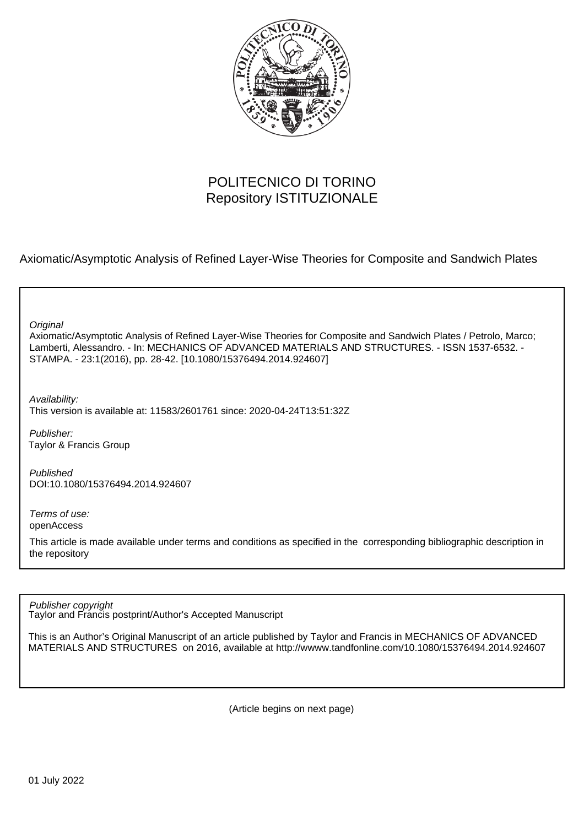

# POLITECNICO DI TORINO Repository ISTITUZIONALE

Axiomatic/Asymptotic Analysis of Refined Layer-Wise Theories for Composite and Sandwich Plates

**Original** 

Axiomatic/Asymptotic Analysis of Refined Layer-Wise Theories for Composite and Sandwich Plates / Petrolo, Marco; Lamberti, Alessandro. - In: MECHANICS OF ADVANCED MATERIALS AND STRUCTURES. - ISSN 1537-6532. - STAMPA. - 23:1(2016), pp. 28-42. [10.1080/15376494.2014.924607]

Availability: This version is available at: 11583/2601761 since: 2020-04-24T13:51:32Z

Publisher: Taylor & Francis Group

Published DOI:10.1080/15376494.2014.924607

Terms of use: openAccess

This article is made available under terms and conditions as specified in the corresponding bibliographic description in the repository

Publisher copyright

Taylor and Francis postprint/Author's Accepted Manuscript

This is an Author's Original Manuscript of an article published by Taylor and Francis in MECHANICS OF ADVANCED MATERIALS AND STRUCTURES on 2016, available at http://wwww.tandfonline.com/10.1080/15376494.2014.924607

(Article begins on next page)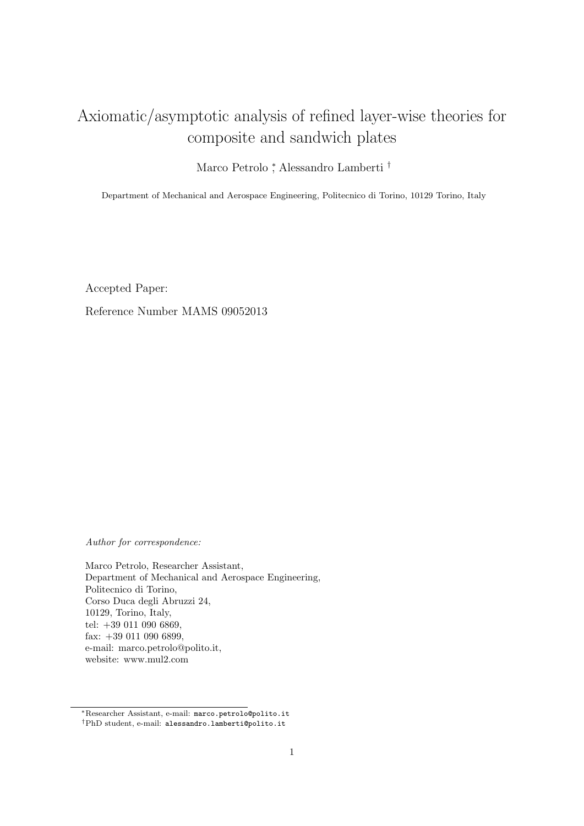# Axiomatic/asymptotic analysis of refined layer-wise theories for composite and sandwich plates

Marco Petrolo <sup>∗</sup> , Alessandro Lamberti †

Department of Mechanical and Aerospace Engineering, Politecnico di Torino, 10129 Torino, Italy

Accepted Paper:

Reference Number MAMS 09052013

Author for correspondence:

Marco Petrolo, Researcher Assistant, Department of Mechanical and Aerospace Engineering, Politecnico di Torino, Corso Duca degli Abruzzi 24, 10129, Torino, Italy, tel: +39 011 090 6869, fax: +39 011 090 6899, e-mail: marco.petrolo@polito.it, website: www.mul2.com

<sup>∗</sup>Researcher Assistant, e-mail: marco.petrolo@polito.it †PhD student, e-mail: alessandro.lamberti@polito.it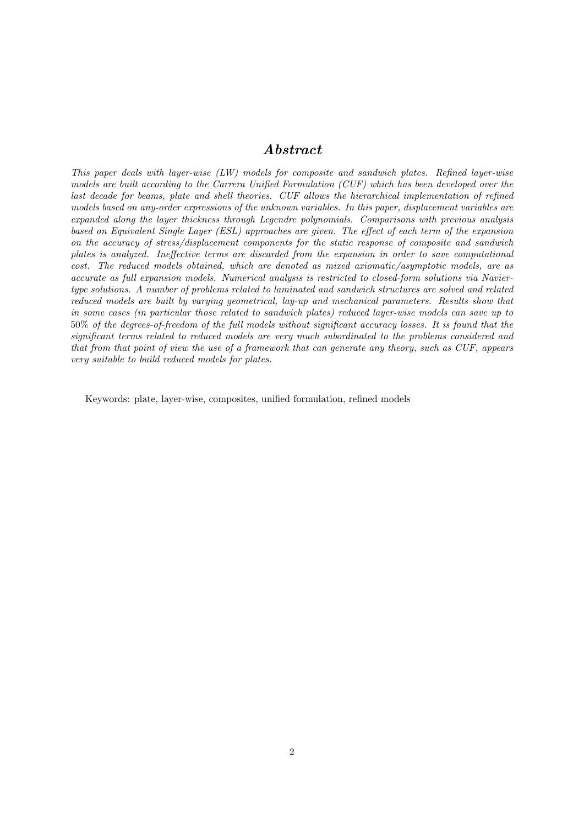## Abstract

This paper deals with layer-wise (LW) models for composite and sandwich plates. Refined layer-wise models are built according to the Carrera Unified Formulation (CUF) which has been developed over the last decade for beams, plate and shell theories. CUF allows the hierarchical implementation of refined models based on any-order expressions of the unknown variables. In this paper, displacement variables are expanded along the layer thickness through Legendre polynomials. Comparisons with previous analysis based on Equivalent Single Layer (ESL) approaches are given. The effect of each term of the expansion on the accuracy of stress/displacement components for the static response of composite and sandwich plates is analyzed. Ineffective terms are discarded from the expansion in order to save computational cost. The reduced models obtained, which are denoted as mixed axiomatic/asymptotic models, are as accurate as full expansion models. Numerical analysis is restricted to closed-form solutions via Naviertype solutions. A number of problems related to laminated and sandwich structures are solved and related reduced models are built by varying geometrical, lay-up and mechanical parameters. Results show that in some cases (in particular those related to sandwich plates) reduced layer-wise models can save up to 50% of the degrees-of-freedom of the full models without significant accuracy losses. It is found that the significant terms related to reduced models are very much subordinated to the problems considered and that from that point of view the use of a framework that can generate any theory, such as CUF, appears very suitable to build reduced models for plates.

Keywords: plate, layer-wise, composites, unified formulation, refined models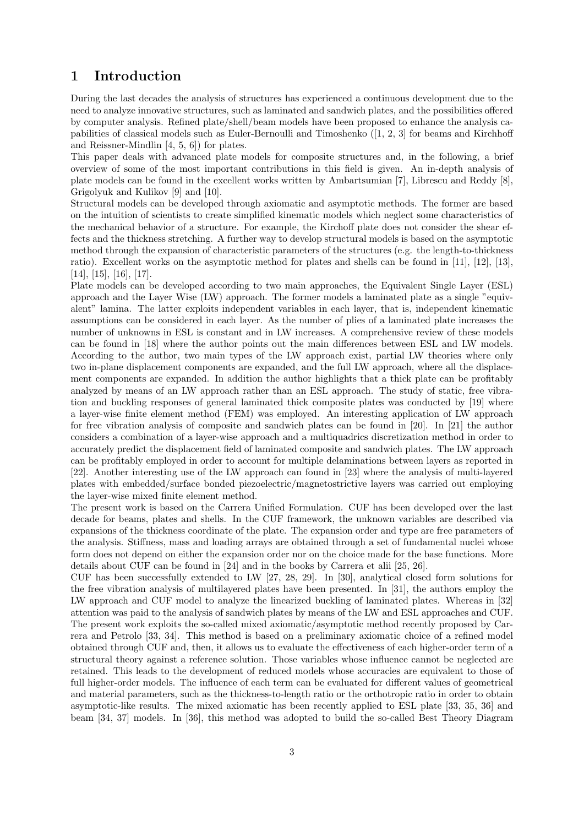# 1 Introduction

During the last decades the analysis of structures has experienced a continuous development due to the need to analyze innovative structures, such as laminated and sandwich plates, and the possibilities offered by computer analysis. Refined plate/shell/beam models have been proposed to enhance the analysis capabilities of classical models such as Euler-Bernoulli and Timoshenko ([1, 2, 3] for beams and Kirchhoff and Reissner-Mindlin [4, 5, 6]) for plates.

This paper deals with advanced plate models for composite structures and, in the following, a brief overview of some of the most important contributions in this field is given. An in-depth analysis of plate models can be found in the excellent works written by Ambartsumian [7], Librescu and Reddy [8], Grigolyuk and Kulikov [9] and [10].

Structural models can be developed through axiomatic and asymptotic methods. The former are based on the intuition of scientists to create simplified kinematic models which neglect some characteristics of the mechanical behavior of a structure. For example, the Kirchoff plate does not consider the shear effects and the thickness stretching. A further way to develop structural models is based on the asymptotic method through the expansion of characteristic parameters of the structures (e.g. the length-to-thickness ratio). Excellent works on the asymptotic method for plates and shells can be found in [11], [12], [13], [14], [15], [16], [17].

Plate models can be developed according to two main approaches, the Equivalent Single Layer (ESL) approach and the Layer Wise (LW) approach. The former models a laminated plate as a single "equivalent" lamina. The latter exploits independent variables in each layer, that is, independent kinematic assumptions can be considered in each layer. As the number of plies of a laminated plate increases the number of unknowns in ESL is constant and in LW increases. A comprehensive review of these models can be found in [18] where the author points out the main differences between ESL and LW models. According to the author, two main types of the LW approach exist, partial LW theories where only two in-plane displacement components are expanded, and the full LW approach, where all the displacement components are expanded. In addition the author highlights that a thick plate can be profitably analyzed by means of an LW approach rather than an ESL approach. The study of static, free vibration and buckling responses of general laminated thick composite plates was conducted by [19] where a layer-wise finite element method (FEM) was employed. An interesting application of LW approach for free vibration analysis of composite and sandwich plates can be found in [20]. In [21] the author considers a combination of a layer-wise approach and a multiquadrics discretization method in order to accurately predict the displacement field of laminated composite and sandwich plates. The LW approach can be profitably employed in order to account for multiple delaminations between layers as reported in [22]. Another interesting use of the LW approach can found in [23] where the analysis of multi-layered plates with embedded/surface bonded piezoelectric/magnetostrictive layers was carried out employing the layer-wise mixed finite element method.

The present work is based on the Carrera Unified Formulation. CUF has been developed over the last decade for beams, plates and shells. In the CUF framework, the unknown variables are described via expansions of the thickness coordinate of the plate. The expansion order and type are free parameters of the analysis. Stiffness, mass and loading arrays are obtained through a set of fundamental nuclei whose form does not depend on either the expansion order nor on the choice made for the base functions. More details about CUF can be found in [24] and in the books by Carrera et alii [25, 26].

CUF has been successfully extended to LW [27, 28, 29]. In [30], analytical closed form solutions for the free vibration analysis of multilayered plates have been presented. In [31], the authors employ the LW approach and CUF model to analyze the linearized buckling of laminated plates. Whereas in [32] attention was paid to the analysis of sandwich plates by means of the LW and ESL approaches and CUF. The present work exploits the so-called mixed axiomatic/asymptotic method recently proposed by Carrera and Petrolo [33, 34]. This method is based on a preliminary axiomatic choice of a refined model obtained through CUF and, then, it allows us to evaluate the effectiveness of each higher-order term of a structural theory against a reference solution. Those variables whose influence cannot be neglected are retained. This leads to the development of reduced models whose accuracies are equivalent to those of full higher-order models. The influence of each term can be evaluated for different values of geometrical and material parameters, such as the thickness-to-length ratio or the orthotropic ratio in order to obtain asymptotic-like results. The mixed axiomatic has been recently applied to ESL plate [33, 35, 36] and beam [34, 37] models. In [36], this method was adopted to build the so-called Best Theory Diagram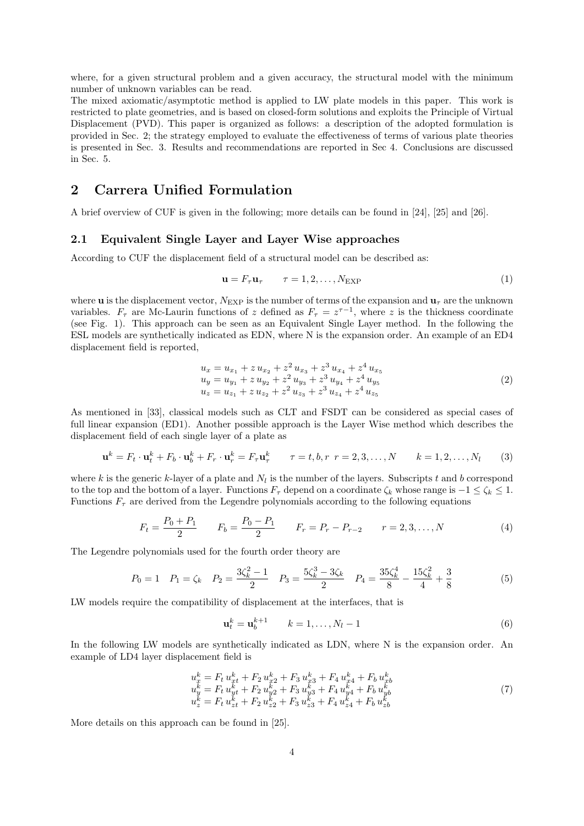where, for a given structural problem and a given accuracy, the structural model with the minimum number of unknown variables can be read.

The mixed axiomatic/asymptotic method is applied to LW plate models in this paper. This work is restricted to plate geometries, and is based on closed-form solutions and exploits the Principle of Virtual Displacement (PVD). This paper is organized as follows: a description of the adopted formulation is provided in Sec. 2; the strategy employed to evaluate the effectiveness of terms of various plate theories is presented in Sec. 3. Results and recommendations are reported in Sec 4. Conclusions are discussed in Sec. 5.

# 2 Carrera Unified Formulation

A brief overview of CUF is given in the following; more details can be found in [24], [25] and [26].

#### 2.1 Equivalent Single Layer and Layer Wise approaches

According to CUF the displacement field of a structural model can be described as:

$$
\mathbf{u} = F_{\tau} \mathbf{u}_{\tau} \qquad \tau = 1, 2, \dots, N_{\text{EXP}} \tag{1}
$$

where **u** is the displacement vector,  $N_{\text{EXP}}$  is the number of terms of the expansion and  $\mathbf{u}_{\tau}$  are the unknown variables.  $F_{\tau}$  are Mc-Laurin functions of z defined as  $F_{\tau} = z^{\tau-1}$ , where z is the thickness coordinate (see Fig. 1). This approach can be seen as an Equivalent Single Layer method. In the following the ESL models are synthetically indicated as EDN, where N is the expansion order. An example of an ED4 displacement field is reported,

$$
u_x = u_{x_1} + z u_{x_2} + z^2 u_{x_3} + z^3 u_{x_4} + z^4 u_{x_5}
$$
  
\n
$$
u_y = u_{y_1} + z u_{y_2} + z^2 u_{y_3} + z^3 u_{y_4} + z^4 u_{y_5}
$$
  
\n
$$
u_z = u_{z_1} + z u_{z_2} + z^2 u_{z_3} + z^3 u_{z_4} + z^4 u_{z_5}
$$
\n(2)

As mentioned in [33], classical models such as CLT and FSDT can be considered as special cases of full linear expansion (ED1). Another possible approach is the Layer Wise method which describes the displacement field of each single layer of a plate as

$$
\mathbf{u}^k = F_t \cdot \mathbf{u}_t^k + F_b \cdot \mathbf{u}_b^k + F_r \cdot \mathbf{u}_r^k = F_\tau \mathbf{u}_\tau^k \qquad \tau = t, b, r \ r = 2, 3, \dots, N \qquad k = 1, 2, \dots, N_l \tag{3}
$$

where k is the generic k-layer of a plate and  $N_l$  is the number of the layers. Subscripts t and b correspond to the top and the bottom of a layer. Functions  $F_\tau$  depend on a coordinate  $\zeta_k$  whose range is  $-1 \leq \zeta_k \leq 1$ . Functions  $F_{\tau}$  are derived from the Legendre polynomials according to the following equations

$$
F_t = \frac{P_0 + P_1}{2} \qquad F_b = \frac{P_0 - P_1}{2} \qquad F_r = P_r - P_{r-2} \qquad r = 2, 3, ..., N \tag{4}
$$

The Legendre polynomials used for the fourth order theory are

$$
P_0 = 1 \quad P_1 = \zeta_k \quad P_2 = \frac{3\zeta_k^2 - 1}{2} \quad P_3 = \frac{5\zeta_k^3 - 3\zeta_k}{2} \quad P_4 = \frac{35\zeta_k^4}{8} - \frac{15\zeta_k^2}{4} + \frac{3}{8} \tag{5}
$$

LW models require the compatibility of displacement at the interfaces, that is

$$
\mathbf{u}_t^k = \mathbf{u}_b^{k+1} \qquad k = 1, \dots, N_l - 1 \tag{6}
$$

In the following LW models are synthetically indicated as LDN, where N is the expansion order. An example of LD4 layer displacement field is

$$
u_x^k = F_t u_{xt}^k + F_2 u_{x2}^k + F_3 u_{x3}^k + F_4 u_{xt}^k + F_b u_{xt}^k u_y^k = F_t u_{yt}^k + F_2 u_{y2}^k + F_3 u_{y3}^k + F_4 u_{yt}^k + F_b u_{yb}^k u_z^k = F_t u_{zt}^k + F_2 u_{z2}^k + F_3 u_{z3}^k + F_4 u_{zt}^k + F_b u_{zt}^k
$$
\n(7)

More details on this approach can be found in [25].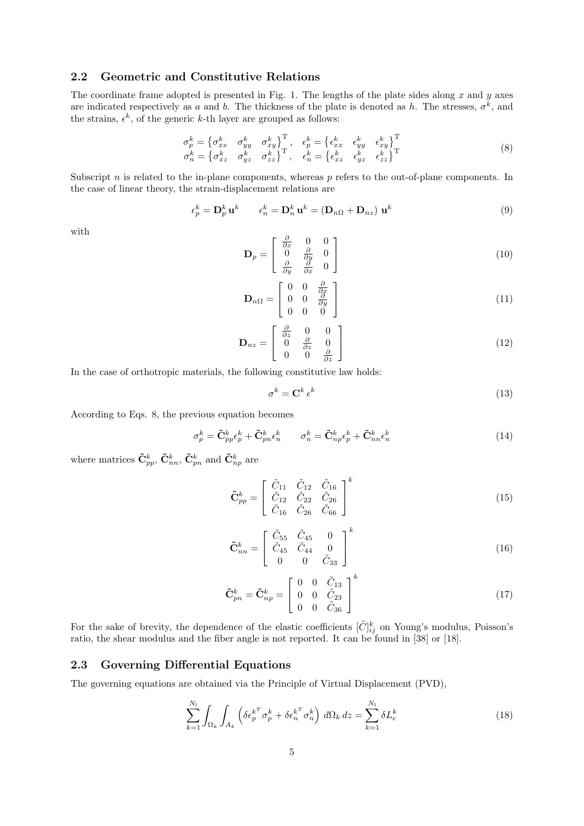#### 2.2 Geometric and Constitutive Relations

The coordinate frame adopted is presented in Fig. 1. The lengths of the plate sides along  $x$  and  $y$  axes are indicated respectively as a and b. The thickness of the plate is denoted as h. The stresses,  $\sigma^k$ , and the strains,  $\epsilon^k$ , of the generic k-th layer are grouped as follows:

$$
\sigma_p^k = \begin{cases}\n\sigma_{xx}^k & \sigma_{yy}^k & \sigma_{xy}^k\n\end{cases}^\text{T}, \quad \epsilon_p^k = \begin{cases}\n\epsilon_{xx}^k & \epsilon_{yy}^k & \epsilon_{xy}^k\n\end{cases}^\text{T} \n\sigma_n^k = \begin{cases}\n\sigma_{xz}^k & \sigma_{yz}^k & \sigma_{zz}^k\n\end{cases}^\text{T}, \quad \epsilon_n^k = \begin{cases}\n\epsilon_{xz}^k & \epsilon_{yz}^k & \epsilon_{zz}^k\n\end{cases}^\text{T}
$$
\n(8)

Subscript  $n$  is related to the in-plane components, whereas  $p$  refers to the out-of-plane components. In the case of linear theory, the strain-displacement relations are

$$
\epsilon_p^k = \mathbf{D}_p^k \mathbf{u}^k \qquad \epsilon_n^k = \mathbf{D}_n^k \mathbf{u}^k = (\mathbf{D}_{n\Omega} + \mathbf{D}_{nz}) \mathbf{u}^k \tag{9}
$$

with

$$
\mathbf{D}_p = \begin{bmatrix} \frac{\partial}{\partial x} & 0 & 0\\ 0 & \frac{\partial}{\partial y} & 0\\ \frac{\partial}{\partial y} & \frac{\partial}{\partial x} & 0 \end{bmatrix}
$$
(10)

$$
\mathbf{D}_{n\Omega} = \begin{bmatrix} 0 & 0 & \frac{\partial}{\partial x} \\ 0 & 0 & \frac{\partial}{\partial y} \\ 0 & 0 & 0 \end{bmatrix}
$$
 (11)

$$
\mathbf{D}_{nz} = \begin{bmatrix} \frac{\partial}{\partial z} & 0 & 0\\ 0 & \frac{\partial}{\partial z} & 0\\ 0 & 0 & \frac{\partial}{\partial z} \end{bmatrix}
$$
(12)

In the case of orthotropic materials, the following constitutive law holds:

$$
\sigma^k = \mathbf{C}^k \,\epsilon^k \tag{13}
$$

According to Eqs. 8, the previous equation becomes

$$
\sigma_p^k = \tilde{\mathbf{C}}_{pp}^k \epsilon_p^k + \tilde{\mathbf{C}}_{pn}^k \epsilon_n^k \qquad \sigma_n^k = \tilde{\mathbf{C}}_{np}^k \epsilon_p^k + \tilde{\mathbf{C}}_{nn}^k \epsilon_n^k \tag{14}
$$

where matrices  $\tilde{\mathbf{C}}_{pp}^k$ ,  $\tilde{\mathbf{C}}_{nn}^k$ ,  $\tilde{\mathbf{C}}_{pn}^k$  and  $\tilde{\mathbf{C}}_{np}^k$  are

$$
\tilde{\mathbf{C}}_{pp}^{k} = \begin{bmatrix} \tilde{C}_{11} & \tilde{C}_{12} & \tilde{C}_{16} \\ \tilde{C}_{12} & \tilde{C}_{22} & \tilde{C}_{26} \\ \tilde{C}_{16} & \tilde{C}_{26} & \tilde{C}_{66} \end{bmatrix}^{k}
$$
(15)

$$
\tilde{\mathbf{C}}_{nn}^{k} = \begin{bmatrix} \tilde{C}_{55} & \tilde{C}_{45} & 0 \\ \tilde{C}_{45} & \tilde{C}_{44} & 0 \\ 0 & 0 & \tilde{C}_{33} \end{bmatrix}^{k} \tag{16}
$$

$$
\tilde{\mathbf{C}}_{pn}^{k} = \tilde{\mathbf{C}}_{np}^{k} = \begin{bmatrix} 0 & 0 & \tilde{C}_{13} \\ 0 & 0 & \tilde{C}_{23} \\ 0 & 0 & \tilde{C}_{36} \end{bmatrix}^{k} \tag{17}
$$

For the sake of brevity, the dependence of the elastic coefficients  $[\tilde{C}]_{ij}^k$  on Young's modulus, Poisson's ratio, the shear modulus and the fiber angle is not reported. It can be found in [38] or [18].

#### 2.3 Governing Differential Equations

The governing equations are obtained via the Principle of Virtual Displacement (PVD),

$$
\sum_{k=1}^{N_l} \int_{\Omega_k} \int_{A_k} \left( \delta \epsilon_p^{k^T} \sigma_p^k + \delta \epsilon_n^{k^T} \sigma_n^k \right) d\Omega_k dz = \sum_{k=1}^{N_l} \delta L_e^k \tag{18}
$$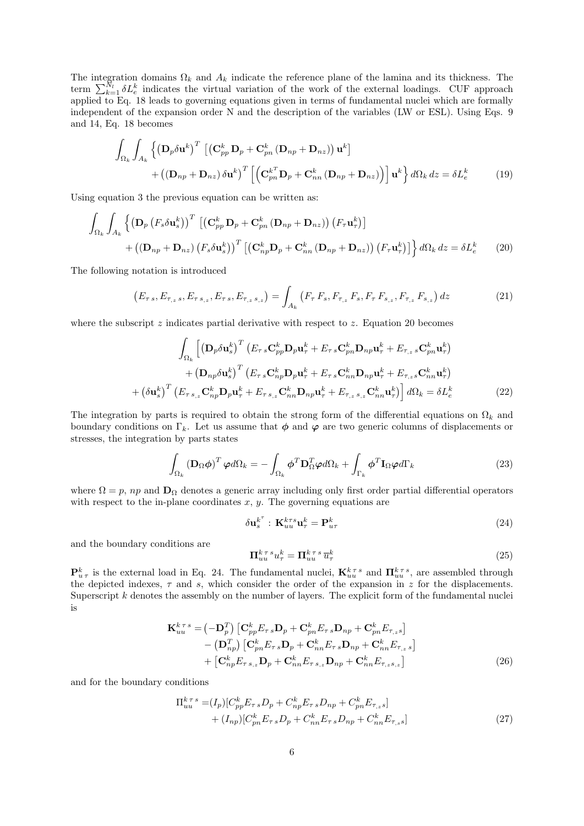The integration domains  $\Omega_k$  and  $A_k$  indicate the reference plane of the lamina and its thickness. The term  $\sum_{k=1}^{N_l} \delta L_e^k$  indicates the virtual variation of the work of the external loadings. CUF approach applied to Eq. 18 leads to governing equations given in terms of fundamental nuclei which are formally independent of the expansion order N and the description of the variables (LW or ESL). Using Eqs. 9 and 14, Eq. 18 becomes

$$
\int_{\Omega_{k}} \int_{A_{k}} \left\{ \left( \mathbf{D}_{p} \delta \mathbf{u}^{k} \right)^{T} \left[ \left( \mathbf{C}_{pp}^{k} \mathbf{D}_{p} + \mathbf{C}_{pn}^{k} \left( \mathbf{D}_{np} + \mathbf{D}_{nz} \right) \right) \mathbf{u}^{k} \right] + \left( \left( \mathbf{D}_{np} + \mathbf{D}_{nz} \right) \delta \mathbf{u}^{k} \right)^{T} \left[ \left( \mathbf{C}_{pn}^{k} \mathbf{D}_{p} + \mathbf{C}_{nn}^{k} \left( \mathbf{D}_{np} + \mathbf{D}_{nz} \right) \right) \right] \mathbf{u}^{k} \right\} d\Omega_{k} dz = \delta L_{e}^{k} \tag{19}
$$

Using equation 3 the previous equation can be written as:

$$
\int_{\Omega_{k}} \int_{A_{k}} \left\{ \left( \mathbf{D}_{p} \left( F_{s} \delta \mathbf{u}_{s}^{k} \right) \right)^{T} \left[ \left( \mathbf{C}_{pp}^{k} \mathbf{D}_{p} + \mathbf{C}_{pn}^{k} \left( \mathbf{D}_{np} + \mathbf{D}_{nz} \right) \right) \left( F_{\tau} \mathbf{u}_{\tau}^{k} \right) \right] \right. \\
\left. + \left( \left( \mathbf{D}_{np} + \mathbf{D}_{nz} \right) \left( F_{s} \delta \mathbf{u}_{s}^{k} \right) \right)^{T} \left[ \left( \mathbf{C}_{np}^{k} \mathbf{D}_{p} + \mathbf{C}_{nn}^{k} \left( \mathbf{D}_{np} + \mathbf{D}_{nz} \right) \right) \left( F_{\tau} \mathbf{u}_{\tau}^{k} \right) \right] \right\} d\Omega_{k} dz = \delta L_{e}^{k} \tag{20}
$$

The following notation is introduced

$$
\left(E_{\tau s}, E_{\tau_{,z}s}, E_{\tau s,z}, E_{\tau s}, E_{\tau_{,z}s,z}\right) = \int_{A_k} \left(F_{\tau} F_s, F_{\tau_{,z}} F_s, F_{\tau} F_{s,z}, F_{\tau_{,z}} F_{s,z}\right) dz \tag{21}
$$

where the subscript  $z$  indicates partial derivative with respect to  $z$ . Equation 20 becomes

$$
\int_{\Omega_{k}} \left[ \left( \mathbf{D}_{p} \delta \mathbf{u}_{s}^{k} \right)^{T} \left( E_{\tau s} \mathbf{C}_{pp}^{k} \mathbf{D}_{p} \mathbf{u}_{\tau}^{k} + E_{\tau s} \mathbf{C}_{pn}^{k} \mathbf{D}_{np} \mathbf{u}_{\tau}^{k} + E_{\tau, z} s \mathbf{C}_{pn}^{k} \mathbf{u}_{\tau}^{k} \right) \right] + \left( \mathbf{D}_{np} \delta \mathbf{u}_{s}^{k} \right)^{T} \left( E_{\tau s} \mathbf{C}_{np}^{k} \mathbf{D}_{p} \mathbf{u}_{\tau}^{k} + E_{\tau s} \mathbf{C}_{nn}^{k} \mathbf{D}_{np} \mathbf{u}_{\tau}^{k} + E_{\tau, z} s \mathbf{C}_{nn}^{k} \mathbf{u}_{\tau}^{k} \right) \right] + \left( \delta \mathbf{u}_{s}^{k} \right)^{T} \left( E_{\tau s,z} \mathbf{C}_{np}^{k} \mathbf{D}_{p} \mathbf{u}_{\tau}^{k} + E_{\tau s,z} \mathbf{C}_{nn}^{k} \mathbf{D}_{np} \mathbf{u}_{\tau}^{k} + E_{\tau, z} s, z \mathbf{C}_{nn}^{k} \mathbf{u}_{\tau}^{k} \right) \right] d\Omega_{k} = \delta L_{e}^{k} \tag{22}
$$

The integration by parts is required to obtain the strong form of the differential equations on  $\Omega_k$  and boundary conditions on  $\Gamma_k$ . Let us assume that  $\phi$  and  $\varphi$  are two generic columns of displacements or stresses, the integration by parts states

$$
\int_{\Omega_k} \left(\mathbf{D}_{\Omega} \boldsymbol{\phi}\right)^T \boldsymbol{\varphi} d\Omega_k = -\int_{\Omega_k} \boldsymbol{\phi}^T \mathbf{D}_{\Omega}^T \boldsymbol{\varphi} d\Omega_k + \int_{\Gamma_k} \boldsymbol{\phi}^T \mathbf{I}_{\Omega} \boldsymbol{\varphi} d\Gamma_k \tag{23}
$$

where  $\Omega = p$ , np and  $\mathbf{D}_{\Omega}$  denotes a generic array including only first order partial differential operators with respect to the in-plane coordinates  $x, y$ . The governing equations are

$$
\delta \mathbf{u}_s^{k^{\tau}} : \mathbf{K}_{uu}^{k\tau s} \mathbf{u}_\tau^k = \mathbf{P}_{u\tau}^k
$$
\n(24)

and the boundary conditions are

$$
\Pi_{uu}^{k\,\tau\,s}u_{\tau}^k = \Pi_{uu}^{k\,\tau\,s}\,\overline{u}_{\tau}^k\tag{25}
$$

 $\mathbf{P}_{u \tau}^{k}$  is the external load in Eq. 24. The fundamental nuclei,  $\mathbf{K}_{uu}^{k \tau s}$  and  $\mathbf{\Pi}_{uu}^{k \tau s}$ , are assembled through the depicted indexes,  $\tau$  and s, which consider the order of the expansion in z for the displacements. Superscript  $k$  denotes the assembly on the number of layers. The explicit form of the fundamental nuclei is

$$
\mathbf{K}_{uu}^{k\tau s} = \left(-\mathbf{D}_p^T\right) \left[\mathbf{C}_{pp}^k E_{\tau s} \mathbf{D}_p + \mathbf{C}_{pn}^k E_{\tau s} \mathbf{D}_{np} + \mathbf{C}_{pn}^k E_{\tau,s}\right] \n- \left(\mathbf{D}_{np}^T\right) \left[\mathbf{C}_{pn}^k E_{\tau s} \mathbf{D}_p + \mathbf{C}_{nn}^k E_{\tau s} \mathbf{D}_{np} + \mathbf{C}_{nn}^k E_{\tau,s}\right] \n+ \left[\mathbf{C}_{np}^k E_{\tau s,z} \mathbf{D}_p + \mathbf{C}_{nn}^k E_{\tau s,z} \mathbf{D}_{np} + \mathbf{C}_{nn}^k E_{\tau,s s,z}\right]
$$
\n(26)

and for the boundary conditions

$$
\Pi_{uu}^{k\tau s} = (I_p)[C_{pp}^k E_{\tau s} D_p + C_{np}^k E_{\tau s} D_{np} + C_{pn}^k E_{\tau,s}] + (I_{np})[C_{pn}^k E_{\tau s} D_p + C_{nn}^k E_{\tau s} D_{np} + C_{nn}^k E_{\tau,s}]
$$
\n(27)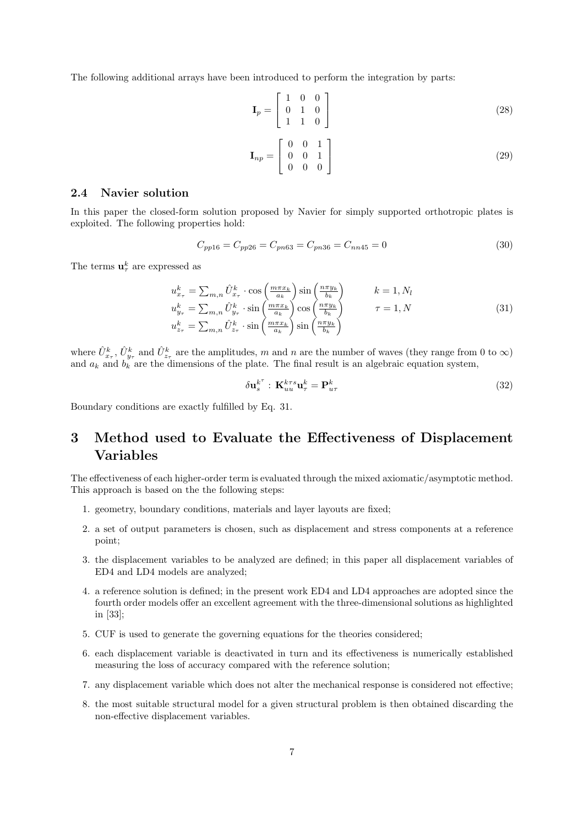The following additional arrays have been introduced to perform the integration by parts:

$$
\mathbf{I}_p = \begin{bmatrix} 1 & 0 & 0 \\ 0 & 1 & 0 \\ 1 & 1 & 0 \end{bmatrix} \tag{28}
$$

$$
\mathbf{I}_{np} = \left[ \begin{array}{ccc} 0 & 0 & 1 \\ 0 & 0 & 1 \\ 0 & 0 & 0 \end{array} \right] \tag{29}
$$

#### 2.4 Navier solution

In this paper the closed-form solution proposed by Navier for simply supported orthotropic plates is exploited. The following properties hold:

$$
C_{pp16} = C_{pp26} = C_{pn63} = C_{pn36} = C_{nn45} = 0
$$
\n(30)

The terms  $\mathbf{u}_{\tau}^{k}$  are expressed as

$$
u_{x_{\tau}}^{k} = \sum_{m,n} \hat{U}_{x_{\tau}}^{k} \cdot \cos\left(\frac{m\pi x_{k}}{a_{k}}\right) \sin\left(\frac{n\pi y_{k}}{b_{k}}\right) \qquad k = 1, N_{l}
$$
  
\n
$$
u_{y_{\tau}}^{k} = \sum_{m,n} \hat{U}_{y_{\tau}}^{k} \cdot \sin\left(\frac{m\pi x_{k}}{a_{k}}\right) \cos\left(\frac{n\pi y_{k}}{b_{k}}\right) \qquad \tau = 1, N
$$
  
\n
$$
u_{z_{\tau}}^{k} = \sum_{m,n} \hat{U}_{z_{\tau}}^{k} \cdot \sin\left(\frac{m\pi x_{k}}{a_{k}}\right) \sin\left(\frac{n\pi y_{k}}{b_{k}}\right) \qquad \tau = 1, N
$$
\n(31)

where  $\hat{U}^k_{x_\tau}$ ,  $\hat{U}^k_{y_\tau}$  and  $\hat{U}^k_{z_\tau}$  are the amplitudes, m and n are the number of waves (they range from 0 to  $\infty$ ) and  $a_k$  and  $b_k$  are the dimensions of the plate. The final result is an algebraic equation system,

$$
\delta \mathbf{u}_s^{k^{\tau}} : \mathbf{K}_{uu}^{k\tau s} \mathbf{u}_\tau^k = \mathbf{P}_{u\tau}^k \tag{32}
$$

Boundary conditions are exactly fulfilled by Eq. 31.

# 3 Method used to Evaluate the Effectiveness of Displacement Variables

The effectiveness of each higher-order term is evaluated through the mixed axiomatic/asymptotic method. This approach is based on the the following steps:

- 1. geometry, boundary conditions, materials and layer layouts are fixed;
- 2. a set of output parameters is chosen, such as displacement and stress components at a reference point;
- 3. the displacement variables to be analyzed are defined; in this paper all displacement variables of ED4 and LD4 models are analyzed;
- 4. a reference solution is defined; in the present work ED4 and LD4 approaches are adopted since the fourth order models offer an excellent agreement with the three-dimensional solutions as highlighted in [33];
- 5. CUF is used to generate the governing equations for the theories considered;
- 6. each displacement variable is deactivated in turn and its effectiveness is numerically established measuring the loss of accuracy compared with the reference solution;
- 7. any displacement variable which does not alter the mechanical response is considered not effective;
- 8. the most suitable structural model for a given structural problem is then obtained discarding the non-effective displacement variables.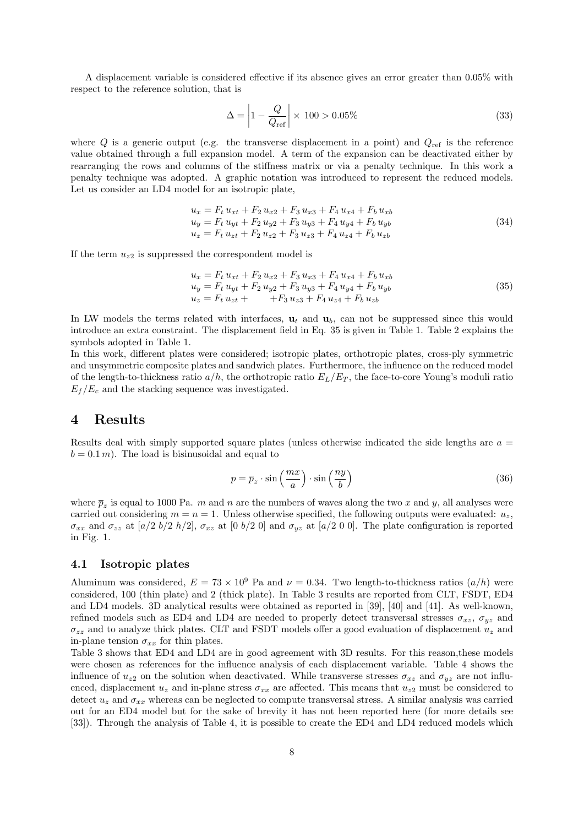A displacement variable is considered effective if its absence gives an error greater than 0.05% with respect to the reference solution, that is

$$
\Delta = \left| 1 - \frac{Q}{Q_{\text{ref}}} \right| \times 100 > 0.05\% \tag{33}
$$

where  $Q$  is a generic output (e.g. the transverse displacement in a point) and  $Q_{ref}$  is the reference value obtained through a full expansion model. A term of the expansion can be deactivated either by rearranging the rows and columns of the stiffness matrix or via a penalty technique. In this work a penalty technique was adopted. A graphic notation was introduced to represent the reduced models. Let us consider an LD4 model for an isotropic plate,

$$
u_x = F_t u_{xt} + F_2 u_{x2} + F_3 u_{x3} + F_4 u_{x4} + F_b u_{xb}
$$
  
\n
$$
u_y = F_t u_{yt} + F_2 u_{y2} + F_3 u_{y3} + F_4 u_{y4} + F_b u_{yb}
$$
  
\n
$$
u_z = F_t u_{zt} + F_2 u_{z2} + F_3 u_{z3} + F_4 u_{z4} + F_b u_{zb}
$$
\n(34)

If the term  $u_{z2}$  is suppressed the correspondent model is

$$
u_x = F_t u_{xt} + F_2 u_{x2} + F_3 u_{x3} + F_4 u_{x4} + F_b u_{xb}
$$
  
\n
$$
u_y = F_t u_{yt} + F_2 u_{y2} + F_3 u_{y3} + F_4 u_{y4} + F_b u_{yb}
$$
  
\n
$$
u_z = F_t u_{zt} + F_3 u_{z3} + F_4 u_{z4} + F_b u_{zb}
$$
\n(35)

In LW models the terms related with interfaces,  $\mathbf{u}_t$  and  $\mathbf{u}_b$ , can not be suppressed since this would introduce an extra constraint. The displacement field in Eq. 35 is given in Table 1. Table 2 explains the symbols adopted in Table 1.

In this work, different plates were considered; isotropic plates, orthotropic plates, cross-ply symmetric and unsymmetric composite plates and sandwich plates. Furthermore, the influence on the reduced model of the length-to-thickness ratio  $a/h$ , the orthotropic ratio  $E_L/E_T$ , the face-to-core Young's moduli ratio  $E_f/E_c$  and the stacking sequence was investigated.

### 4 Results

Results deal with simply supported square plates (unless otherwise indicated the side lengths are  $a =$  $b = 0.1 m$ . The load is bisinusoidal and equal to

$$
p = \overline{p}_z \cdot \sin\left(\frac{mx}{a}\right) \cdot \sin\left(\frac{ny}{b}\right) \tag{36}
$$

where  $\bar{p}_z$  is equal to 1000 Pa. m and n are the numbers of waves along the two x and y, all analyses were carried out considering  $m = n = 1$ . Unless otherwise specified, the following outputs were evaluated:  $u_z$ ,  $\sigma_{xx}$  and  $\sigma_{zz}$  at [a/2 b/2 h/2],  $\sigma_{xz}$  at [0 b/2 0] and  $\sigma_{yz}$  at [a/2 0 0]. The plate configuration is reported in Fig. 1.

#### 4.1 Isotropic plates

Aluminum was considered,  $E = 73 \times 10^9$  Pa and  $\nu = 0.34$ . Two length-to-thickness ratios  $\left(\frac{a}{h}\right)$  were considered, 100 (thin plate) and 2 (thick plate). In Table 3 results are reported from CLT, FSDT, ED4 and LD4 models. 3D analytical results were obtained as reported in [39], [40] and [41]. As well-known, refined models such as ED4 and LD4 are needed to properly detect transversal stresses  $\sigma_{xz}$ ,  $\sigma_{uz}$  and  $\sigma_{zz}$  and to analyze thick plates. CLT and FSDT models offer a good evaluation of displacement  $u_z$  and in-plane tension  $\sigma_{xx}$  for thin plates.

Table 3 shows that ED4 and LD4 are in good agreement with 3D results. For this reason,these models were chosen as references for the influence analysis of each displacement variable. Table 4 shows the influence of  $u_{z2}$  on the solution when deactivated. While transverse stresses  $\sigma_{xz}$  and  $\sigma_{yz}$  are not influenced, displacement  $u_z$  and in-plane stress  $\sigma_{xx}$  are affected. This means that  $u_{z2}$  must be considered to detect  $u_z$  and  $\sigma_{xx}$  whereas can be neglected to compute transversal stress. A similar analysis was carried out for an ED4 model but for the sake of brevity it has not been reported here (for more details see [33]). Through the analysis of Table 4, it is possible to create the ED4 and LD4 reduced models which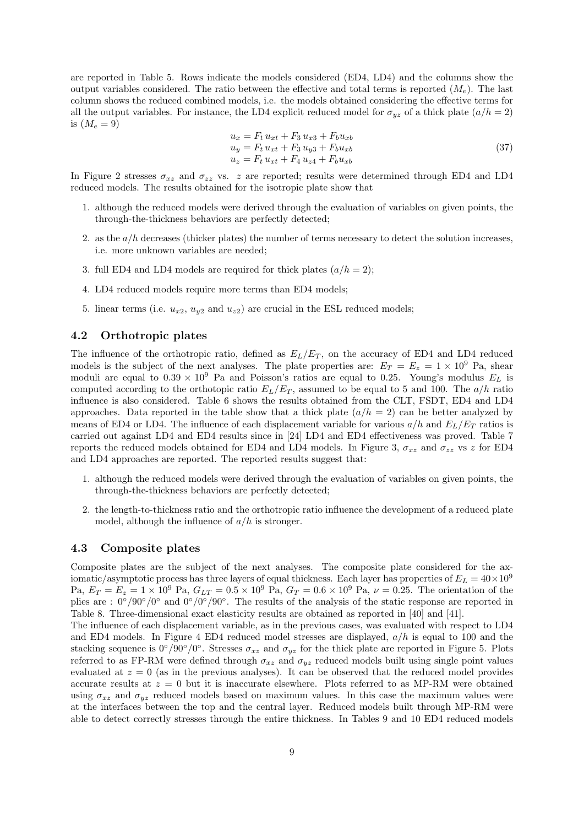are reported in Table 5. Rows indicate the models considered (ED4, LD4) and the columns show the output variables considered. The ratio between the effective and total terms is reported  $(M_e)$ . The last column shows the reduced combined models, i.e. the models obtained considering the effective terms for all the output variables. For instance, the LD4 explicit reduced model for  $\sigma_{uz}$  of a thick plate  $(a/h = 2)$ is  $(M_e = 9)$ 

$$
u_x = F_t u_{xt} + F_3 u_{x3} + F_b u_{xb}
$$
  
\n
$$
u_y = F_t u_{xt} + F_3 u_{y3} + F_b u_{xb}
$$
  
\n
$$
u_z = F_t u_{xt} + F_4 u_{z4} + F_b u_{xb}
$$
\n(37)

In Figure 2 stresses  $\sigma_{xz}$  and  $\sigma_{zz}$  vs. z are reported; results were determined through ED4 and LD4 reduced models. The results obtained for the isotropic plate show that

- 1. although the reduced models were derived through the evaluation of variables on given points, the through-the-thickness behaviors are perfectly detected;
- 2. as the  $a/h$  decreases (thicker plates) the number of terms necessary to detect the solution increases, i.e. more unknown variables are needed;
- 3. full ED4 and LD4 models are required for thick plates  $(a/h = 2)$ ;
- 4. LD4 reduced models require more terms than ED4 models;
- 5. linear terms (i.e.  $u_{x2}, u_{y2}$  and  $u_{z2}$ ) are crucial in the ESL reduced models;

#### 4.2 Orthotropic plates

The influence of the orthotropic ratio, defined as  $E_L/E_T$ , on the accuracy of ED4 and LD4 reduced models is the subject of the next analyses. The plate properties are:  $E_T = E_z = 1 \times 10^9$  Pa, shear moduli are equal to  $0.39 \times 10^9$  Pa and Poisson's ratios are equal to 0.25. Young's modulus  $E_L$  is computed according to the orthotopic ratio  $E_L/E_T$ , assumed to be equal to 5 and 100. The  $a/h$  ratio influence is also considered. Table 6 shows the results obtained from the CLT, FSDT, ED4 and LD4 approaches. Data reported in the table show that a thick plate  $(a/h = 2)$  can be better analyzed by means of ED4 or LD4. The influence of each displacement variable for various  $a/h$  and  $E_L/E_T$  ratios is carried out against LD4 and ED4 results since in [24] LD4 and ED4 effectiveness was proved. Table 7 reports the reduced models obtained for ED4 and LD4 models. In Figure 3,  $\sigma_{xz}$  and  $\sigma_{zz}$  vs z for ED4 and LD4 approaches are reported. The reported results suggest that:

- 1. although the reduced models were derived through the evaluation of variables on given points, the through-the-thickness behaviors are perfectly detected;
- 2. the length-to-thickness ratio and the orthotropic ratio influence the development of a reduced plate model, although the influence of  $a/h$  is stronger.

#### 4.3 Composite plates

Composite plates are the subject of the next analyses. The composite plate considered for the axiomatic/asymptotic process has three layers of equal thickness. Each layer has properties of  $E_L = 40 \times 10^9$ Pa,  $E_T = E_z = 1 \times 10^9$  Pa,  $G_{LT} = 0.5 \times 10^9$  Pa,  $G_T = 0.6 \times 10^9$  Pa,  $\nu = 0.25$ . The orientation of the plies are :  $0^{\circ}/90^{\circ}/0^{\circ}$  and  $0^{\circ}/0^{\circ}/90^{\circ}$ . The results of the analysis of the static response are reported in Table 8. Three-dimensional exact elasticity results are obtained as reported in [40] and [41].

The influence of each displacement variable, as in the previous cases, was evaluated with respect to LD4 and ED4 models. In Figure 4 ED4 reduced model stresses are displayed,  $a/h$  is equal to 100 and the stacking sequence is  $0^{\circ}/90^{\circ}/0^{\circ}$ . Stresses  $\sigma_{xz}$  and  $\sigma_{yz}$  for the thick plate are reported in Figure 5. Plots referred to as FP-RM were defined through  $\sigma_{xz}$  and  $\sigma_{yz}$  reduced models built using single point values evaluated at  $z = 0$  (as in the previous analyses). It can be observed that the reduced model provides accurate results at  $z = 0$  but it is inaccurate elsewhere. Plots referred to as MP-RM were obtained using  $\sigma_{xz}$  and  $\sigma_{yz}$  reduced models based on maximum values. In this case the maximum values were at the interfaces between the top and the central layer. Reduced models built through MP-RM were able to detect correctly stresses through the entire thickness. In Tables 9 and 10 ED4 reduced models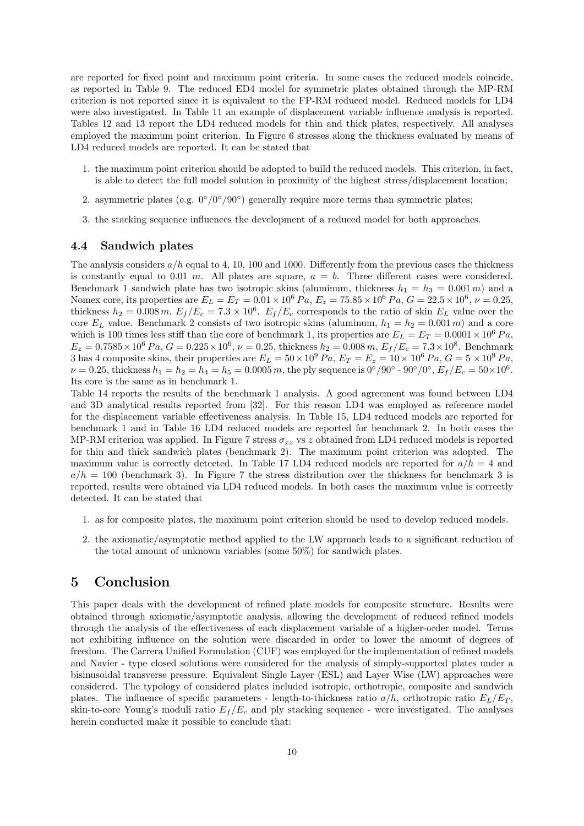are reported for fixed point and maximum point criteria. In some cases the reduced models coincide, as reported in Table 9. The reduced ED4 model for symmetric plates obtained through the MP-RM criterion is not reported since it is equivalent to the FP-RM reduced model. Reduced models for LD4 were also investigated. In Table 11 an example of displacement variable influence analysis is reported. Tables 12 and 13 report the LD4 reduced models for thin and thick plates, respectively. All analyses employed the maximum point criterion. In Figure 6 stresses along the thickness evaluated by means of LD4 reduced models are reported. It can be stated that

- 1. the maximum point criterion should be adopted to build the reduced models. This criterion, in fact, is able to detect the full model solution in proximity of the highest stress/displacement location;
- 2. asymmetric plates (e.g.  $0^{\circ}/0^{\circ}/90^{\circ}$ ) generally require more terms than symmetric plates;
- 3. the stacking sequence influences the development of a reduced model for both approaches.

#### 4.4 Sandwich plates

The analysis considers  $a/h$  equal to 4, 10, 100 and 1000. Differently from the previous cases the thickness is constantly equal to 0.01 m. All plates are square,  $a = b$ . Three different cases were considered. Benchmark 1 sandwich plate has two isotropic skins (aluminum, thickness  $h_1 = h_3 = 0.001 \, m$ ) and a Nomex core, its properties are  $E_L = E_T = 0.01 \times 10^6 Pa$ ,  $E_z = 75.85 \times 10^6 Pa$ ,  $G = 22.5 \times 10^6$ ,  $\nu = 0.25$ , thickness  $h_2 = 0.008 \, m$ ,  $E_f/E_c = 7.3 \times 10^6$ .  $E_f/E_c$  corresponds to the ratio of skin  $E_L$  value over the core  $E_L$  value. Benchmark 2 consists of two isotropic skins (aluminum,  $h_1 = h_2 = 0.001 m$ ) and a core which is 100 times less stiff than the core of benchmark 1, its properties are  $E_L = E_T = 0.0001 \times 10^6 Pa$ ,  $E_z = 0.7585 \times 10^6 Pa$ ,  $G = 0.225 \times 10^6$ ,  $\nu = 0.25$ , thickness  $h_2 = 0.008 m$ ,  $E_f/E_c = 7.3 \times 10^8$ . Benchmark 3 has 4 composite skins, their properties are  $E_L = 50 \times 10^9 Pa$ ,  $E_T = E_z = 10 \times 10^6 Pa$ ,  $G = 5 \times 10^9 Pa$ ,  $\nu = 0.25$ , thickness  $h_1 = h_2 = h_4 = h_5 = 0.0005 m$ , the ply sequence is  $0^{\circ}/90^{\circ}$  -  $90^{\circ}/0^{\circ}$ ,  $E_f/E_c = 50 \times 10^6$ . Its core is the same as in benchmark 1.

Table 14 reports the results of the benchmark 1 analysis. A good agreement was found between LD4 and 3D analytical results reported from [32]. For this reason LD4 was employed as reference model for the displacement variable effectiveness analysis. In Table 15, LD4 reduced models are reported for benchmark 1 and in Table 16 LD4 reduced models are reported for benchmark 2. In both cases the MP-RM criterion was applied. In Figure 7 stress  $\sigma_{xz}$  vs z obtained from LD4 reduced models is reported for thin and thick sandwich plates (benchmark 2). The maximum point criterion was adopted. The maximum value is correctly detected. In Table 17 LD4 reduced models are reported for  $a/h = 4$  and  $a/h = 100$  (benchmark 3). In Figure 7 the stress distribution over the thickness for benchmark 3 is reported, results were obtained via LD4 reduced models. In both cases the maximum value is correctly detected. It can be stated that

- 1. as for composite plates, the maximum point criterion should be used to develop reduced models.
- 2. the axiomatic/asymptotic method applied to the LW approach leads to a significant reduction of the total amount of unknown variables (some 50%) for sandwich plates.

# 5 Conclusion

This paper deals with the development of refined plate models for composite structure. Results were obtained through axiomatic/asymptotic analysis, allowing the development of reduced refined models through the analysis of the effectiveness of each displacement variable of a higher-order model. Terms not exhibiting influence on the solution were discarded in order to lower the amount of degrees of freedom. The Carrera Unified Formulation (CUF) was employed for the implementation of refined models and Navier - type closed solutions were considered for the analysis of simply-supported plates under a bisinusoidal transverse pressure. Equivalent Single Layer (ESL) and Layer Wise (LW) approaches were considered. The typology of considered plates included isotropic, orthotropic, composite and sandwich plates. The influence of specific parameters - length-to-thickness ratio  $a/h$ , orthotropic ratio  $E_L/E_T$ , skin-to-core Young's moduli ratio  $E_f/E_c$  and ply stacking sequence - were investigated. The analyses herein conducted make it possible to conclude that: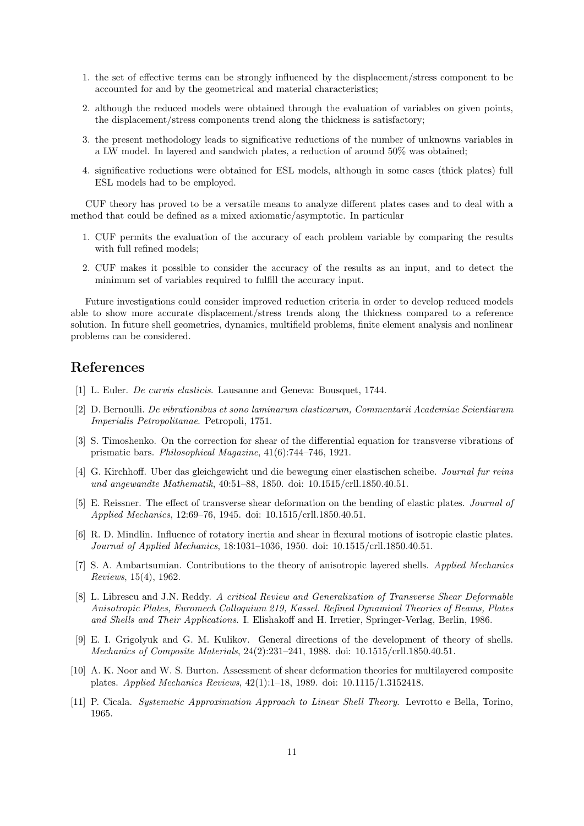- 1. the set of effective terms can be strongly influenced by the displacement/stress component to be accounted for and by the geometrical and material characteristics;
- 2. although the reduced models were obtained through the evaluation of variables on given points, the displacement/stress components trend along the thickness is satisfactory;
- 3. the present methodology leads to significative reductions of the number of unknowns variables in a LW model. In layered and sandwich plates, a reduction of around 50% was obtained;
- 4. significative reductions were obtained for ESL models, although in some cases (thick plates) full ESL models had to be employed.

CUF theory has proved to be a versatile means to analyze different plates cases and to deal with a method that could be defined as a mixed axiomatic/asymptotic. In particular

- 1. CUF permits the evaluation of the accuracy of each problem variable by comparing the results with full refined models;
- 2. CUF makes it possible to consider the accuracy of the results as an input, and to detect the minimum set of variables required to fulfill the accuracy input.

Future investigations could consider improved reduction criteria in order to develop reduced models able to show more accurate displacement/stress trends along the thickness compared to a reference solution. In future shell geometries, dynamics, multifield problems, finite element analysis and nonlinear problems can be considered.

### References

- [1] L. Euler. De curvis elasticis. Lausanne and Geneva: Bousquet, 1744.
- [2] D. Bernoulli. De vibrationibus et sono laminarum elasticarum, Commentarii Academiae Scientiarum Imperialis Petropolitanae. Petropoli, 1751.
- [3] S. Timoshenko. On the correction for shear of the differential equation for transverse vibrations of prismatic bars. Philosophical Magazine, 41(6):744–746, 1921.
- [4] G. Kirchhoff. Uber das gleichgewicht und die bewegung einer elastischen scheibe. Journal fur reins und angewandte Mathematik, 40:51–88, 1850. doi: 10.1515/crll.1850.40.51.
- [5] E. Reissner. The effect of transverse shear deformation on the bending of elastic plates. Journal of Applied Mechanics, 12:69–76, 1945. doi: 10.1515/crll.1850.40.51.
- [6] R. D. Mindlin. Influence of rotatory inertia and shear in flexural motions of isotropic elastic plates. Journal of Applied Mechanics, 18:1031–1036, 1950. doi: 10.1515/crll.1850.40.51.
- [7] S. A. Ambartsumian. Contributions to the theory of anisotropic layered shells. Applied Mechanics Reviews, 15(4), 1962.
- [8] L. Librescu and J.N. Reddy. A critical Review and Generalization of Transverse Shear Deformable Anisotropic Plates, Euromech Colloquium 219, Kassel. Refined Dynamical Theories of Beams, Plates and Shells and Their Applications. I. Elishakoff and H. Irretier, Springer-Verlag, Berlin, 1986.
- [9] E. I. Grigolyuk and G. M. Kulikov. General directions of the development of theory of shells. Mechanics of Composite Materials, 24(2):231–241, 1988. doi: 10.1515/crll.1850.40.51.
- [10] A. K. Noor and W. S. Burton. Assessment of shear deformation theories for multilayered composite plates. Applied Mechanics Reviews, 42(1):1–18, 1989. doi: 10.1115/1.3152418.
- [11] P. Cicala. Systematic Approximation Approach to Linear Shell Theory. Levrotto e Bella, Torino, 1965.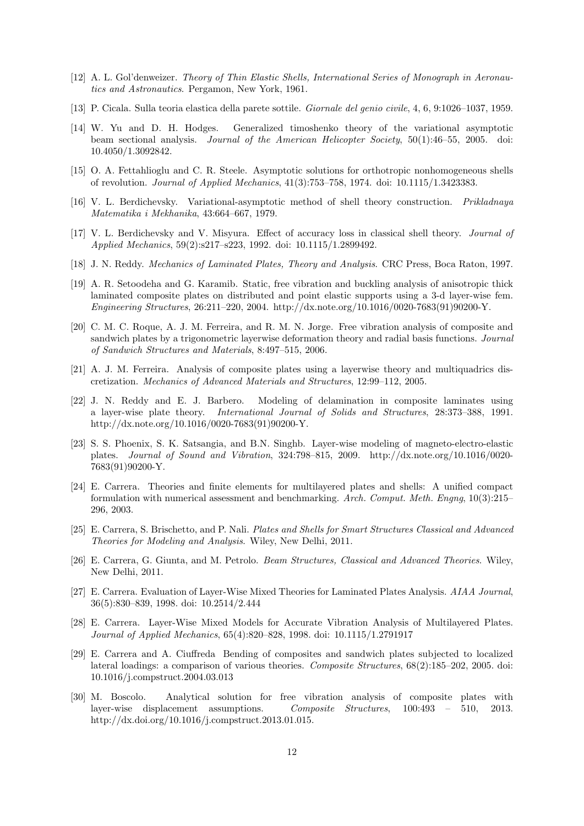- [12] A. L. Gol'denweizer. Theory of Thin Elastic Shells, International Series of Monograph in Aeronautics and Astronautics. Pergamon, New York, 1961.
- [13] P. Cicala. Sulla teoria elastica della parete sottile. Giornale del genio civile, 4, 6, 9:1026–1037, 1959.
- [14] W. Yu and D. H. Hodges. Generalized timoshenko theory of the variational asymptotic beam sectional analysis. Journal of the American Helicopter Society, 50(1):46–55, 2005. doi: 10.4050/1.3092842.
- [15] O. A. Fettahlioglu and C. R. Steele. Asymptotic solutions for orthotropic nonhomogeneous shells of revolution. Journal of Applied Mechanics, 41(3):753–758, 1974. doi: 10.1115/1.3423383.
- [16] V. L. Berdichevsky. Variational-asymptotic method of shell theory construction. Prikladnaya Matematika i Mekhanika, 43:664–667, 1979.
- [17] V. L. Berdichevsky and V. Misyura. Effect of accuracy loss in classical shell theory. Journal of Applied Mechanics, 59(2):s217–s223, 1992. doi: 10.1115/1.2899492.
- [18] J. N. Reddy. Mechanics of Laminated Plates, Theory and Analysis. CRC Press, Boca Raton, 1997.
- [19] A. R. Setoodeha and G. Karamib. Static, free vibration and buckling analysis of anisotropic thick laminated composite plates on distributed and point elastic supports using a 3-d layer-wise fem. Engineering Structures, 26:211–220, 2004. http://dx.note.org/10.1016/0020-7683(91)90200-Y.
- [20] C. M. C. Roque, A. J. M. Ferreira, and R. M. N. Jorge. Free vibration analysis of composite and sandwich plates by a trigonometric layerwise deformation theory and radial basis functions. *Journal* of Sandwich Structures and Materials, 8:497–515, 2006.
- [21] A. J. M. Ferreira. Analysis of composite plates using a layerwise theory and multiquadrics discretization. Mechanics of Advanced Materials and Structures, 12:99–112, 2005.
- [22] J. N. Reddy and E. J. Barbero. Modeling of delamination in composite laminates using a layer-wise plate theory. International Journal of Solids and Structures, 28:373–388, 1991. http://dx.note.org/10.1016/0020-7683(91)90200-Y.
- [23] S. S. Phoenix, S. K. Satsangia, and B.N. Singhb. Layer-wise modeling of magneto-electro-elastic plates. Journal of Sound and Vibration, 324:798–815, 2009. http://dx.note.org/10.1016/0020- 7683(91)90200-Y.
- [24] E. Carrera. Theories and finite elements for multilayered plates and shells: A unified compact formulation with numerical assessment and benchmarking. Arch. Comput. Meth. Engng, 10(3):215– 296, 2003.
- [25] E. Carrera, S. Brischetto, and P. Nali. Plates and Shells for Smart Structures Classical and Advanced Theories for Modeling and Analysis. Wiley, New Delhi, 2011.
- [26] E. Carrera, G. Giunta, and M. Petrolo. Beam Structures, Classical and Advanced Theories. Wiley, New Delhi, 2011.
- [27] E. Carrera. Evaluation of Layer-Wise Mixed Theories for Laminated Plates Analysis. AIAA Journal, 36(5):830–839, 1998. doi: 10.2514/2.444
- [28] E. Carrera. Layer-Wise Mixed Models for Accurate Vibration Analysis of Multilayered Plates. Journal of Applied Mechanics, 65(4):820–828, 1998. doi: 10.1115/1.2791917
- [29] E. Carrera and A. Ciuffreda Bending of composites and sandwich plates subjected to localized lateral loadings: a comparison of various theories. Composite Structures, 68(2):185–202, 2005. doi: 10.1016/j.compstruct.2004.03.013
- [30] M. Boscolo. Analytical solution for free vibration analysis of composite plates with layer-wise displacement assumptions. Composite Structures, 100:493 – 510, 2013. http://dx.doi.org/10.1016/j.compstruct.2013.01.015.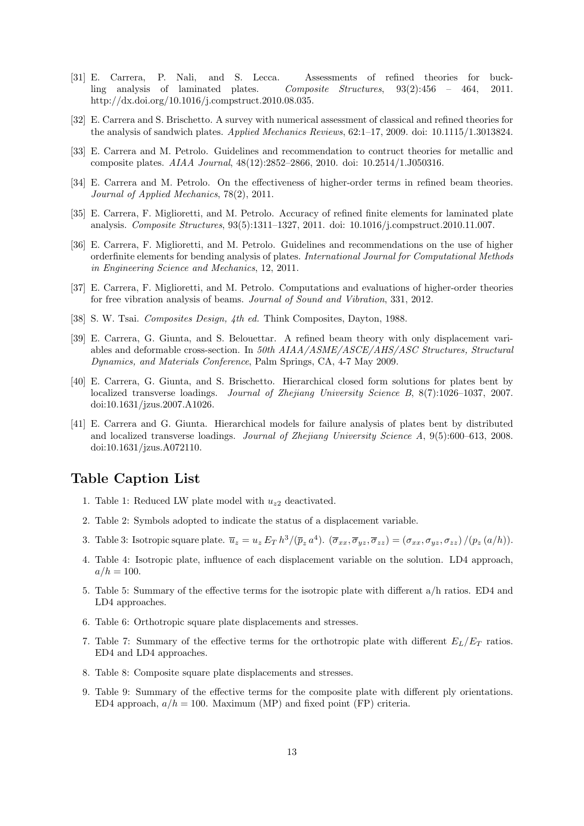- [31] E. Carrera, P. Nali, and S. Lecca. Assessments of refined theories for buckling analysis of laminated plates. Composite Structures, 93(2):456 – 464, 2011. http://dx.doi.org/10.1016/j.compstruct.2010.08.035.
- [32] E. Carrera and S. Brischetto. A survey with numerical assessment of classical and refined theories for the analysis of sandwich plates. Applied Mechanics Reviews, 62:1–17, 2009. doi: 10.1115/1.3013824.
- [33] E. Carrera and M. Petrolo. Guidelines and recommendation to contruct theories for metallic and composite plates. AIAA Journal, 48(12):2852–2866, 2010. doi: 10.2514/1.J050316.
- [34] E. Carrera and M. Petrolo. On the effectiveness of higher-order terms in refined beam theories. Journal of Applied Mechanics, 78(2), 2011.
- [35] E. Carrera, F. Miglioretti, and M. Petrolo. Accuracy of refined finite elements for laminated plate analysis. Composite Structures, 93(5):1311–1327, 2011. doi: 10.1016/j.compstruct.2010.11.007.
- [36] E. Carrera, F. Miglioretti, and M. Petrolo. Guidelines and recommendations on the use of higher orderfinite elements for bending analysis of plates. International Journal for Computational Methods in Engineering Science and Mechanics, 12, 2011.
- [37] E. Carrera, F. Miglioretti, and M. Petrolo. Computations and evaluations of higher-order theories for free vibration analysis of beams. Journal of Sound and Vibration, 331, 2012.
- [38] S. W. Tsai. Composites Design, 4th ed. Think Composites, Dayton, 1988.
- [39] E. Carrera, G. Giunta, and S. Belouettar. A refined beam theory with only displacement variables and deformable cross-section. In 50th AIAA/ASME/ASCE/AHS/ASC Structures, Structural Dynamics, and Materials Conference, Palm Springs, CA, 4-7 May 2009.
- [40] E. Carrera, G. Giunta, and S. Brischetto. Hierarchical closed form solutions for plates bent by localized transverse loadings. Journal of Zhejiang University Science B, 8(7):1026–1037, 2007. doi:10.1631/jzus.2007.A1026.
- [41] E. Carrera and G. Giunta. Hierarchical models for failure analysis of plates bent by distributed and localized transverse loadings. Journal of Zhejiang University Science A, 9(5):600–613, 2008. doi:10.1631/jzus.A072110.

# Table Caption List

- 1. Table 1: Reduced LW plate model with  $u_{z2}$  deactivated.
- 2. Table 2: Symbols adopted to indicate the status of a displacement variable.
- 3. Table 3: Isotropic square plate.  $\overline{u}_z = u_z E_T h^3/(\overline{p}_z a^4)$ .  $(\overline{\sigma}_{xx}, \overline{\sigma}_{yz}, \overline{\sigma}_{zz}) = (\sigma_{xx}, \sigma_{yz}, \sigma_{zz}) / (p_z(a/h))$ .
- 4. Table 4: Isotropic plate, influence of each displacement variable on the solution. LD4 approach,  $a/h = 100.$
- 5. Table 5: Summary of the effective terms for the isotropic plate with different a/h ratios. ED4 and LD4 approaches.
- 6. Table 6: Orthotropic square plate displacements and stresses.
- 7. Table 7: Summary of the effective terms for the orthotropic plate with different  $E_L/E_T$  ratios. ED4 and LD4 approaches.
- 8. Table 8: Composite square plate displacements and stresses.
- 9. Table 9: Summary of the effective terms for the composite plate with different ply orientations. ED4 approach,  $a/h = 100$ . Maximum (MP) and fixed point (FP) criteria.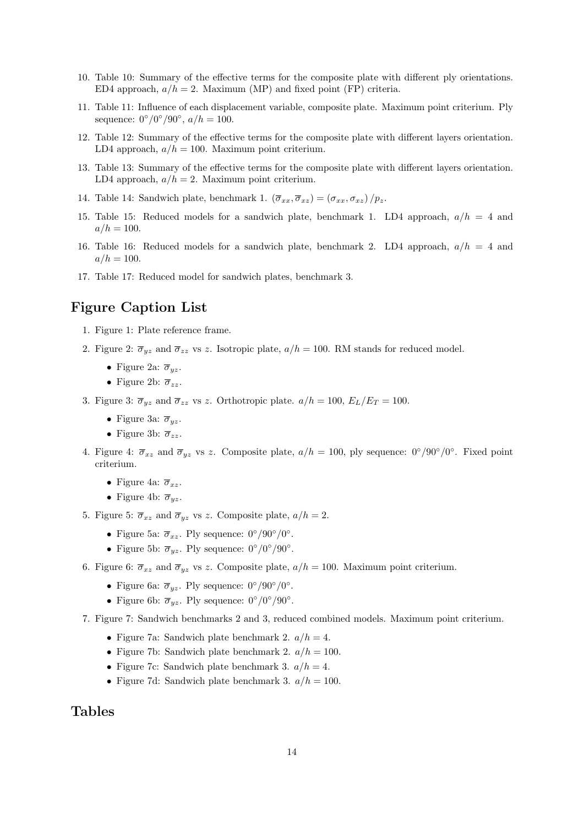- 10. Table 10: Summary of the effective terms for the composite plate with different ply orientations. ED4 approach,  $a/h = 2$ . Maximum (MP) and fixed point (FP) criteria.
- 11. Table 11: Influence of each displacement variable, composite plate. Maximum point criterium. Ply sequence:  $0^{\circ}/0^{\circ}/90^{\circ}$ ,  $a/h = 100$ .
- 12. Table 12: Summary of the effective terms for the composite plate with different layers orientation. LD4 approach,  $a/h = 100$ . Maximum point criterium.
- 13. Table 13: Summary of the effective terms for the composite plate with different layers orientation. LD4 approach,  $a/h = 2$ . Maximum point criterium.
- 14. Table 14: Sandwich plate, benchmark 1.  $(\overline{\sigma}_{xx}, \overline{\sigma}_{xz}) = (\sigma_{xx}, \sigma_{xz})/p_z$ .
- 15. Table 15: Reduced models for a sandwich plate, benchmark 1. LD4 approach,  $a/h = 4$  and  $a/h = 100.$
- 16. Table 16: Reduced models for a sandwich plate, benchmark 2. LD4 approach,  $a/h = 4$  and  $a/h = 100.$
- 17. Table 17: Reduced model for sandwich plates, benchmark 3.

# Figure Caption List

- 1. Figure 1: Plate reference frame.
- 2. Figure 2:  $\overline{\sigma}_{yz}$  and  $\overline{\sigma}_{zz}$  vs z. Isotropic plate,  $a/h = 100$ . RM stands for reduced model.
	- Figure 2a:  $\overline{\sigma}_{yz}$ .
	- Figure 2b:  $\overline{\sigma}_{zz}$ .
- 3. Figure 3:  $\overline{\sigma}_{yz}$  and  $\overline{\sigma}_{zz}$  vs z. Orthotropic plate.  $a/h = 100$ ,  $E_L/E_T = 100$ .
	- Figure 3a:  $\overline{\sigma}_{uz}$ .
	- Figure 3b:  $\overline{\sigma}_{zz}$ .
- 4. Figure 4:  $\overline{\sigma}_{xz}$  and  $\overline{\sigma}_{yz}$  vs z. Composite plate,  $a/h = 100$ , ply sequence:  $0^{\circ}/90^{\circ}/0^{\circ}$ . Fixed point criterium.
	- Figure 4a:  $\overline{\sigma}_{xz}$ .
	- Figure 4b:  $\overline{\sigma}_{yz}$ .
- 5. Figure 5:  $\overline{\sigma}_{xz}$  and  $\overline{\sigma}_{yz}$  vs z. Composite plate,  $a/h = 2$ .
	- Figure 5a:  $\overline{\sigma}_{xz}$ . Ply sequence:  $0^{\circ}/90^{\circ}/0^{\circ}$ .
	- Figure 5b:  $\overline{\sigma}_{yz}$ . Ply sequence:  $0^{\circ}/0^{\circ}/90^{\circ}$ .
- 6. Figure 6:  $\overline{\sigma}_{xz}$  and  $\overline{\sigma}_{yz}$  vs z. Composite plate,  $a/h = 100$ . Maximum point criterium.
	- Figure 6a:  $\overline{\sigma}_{yz}$ . Ply sequence:  $0^{\circ}/90^{\circ}/0^{\circ}$ .
	- Figure 6b:  $\overline{\sigma}_{yz}$ . Ply sequence:  $0^{\circ}/0^{\circ}/90^{\circ}$ .
- 7. Figure 7: Sandwich benchmarks 2 and 3, reduced combined models. Maximum point criterium.
	- Figure 7a: Sandwich plate benchmark 2.  $a/h = 4$ .
	- Figure 7b: Sandwich plate benchmark 2.  $a/h = 100$ .
	- Figure 7c: Sandwich plate benchmark 3.  $a/h = 4$ .
	- Figure 7d: Sandwich plate benchmark 3.  $a/h = 100$ .

### Tables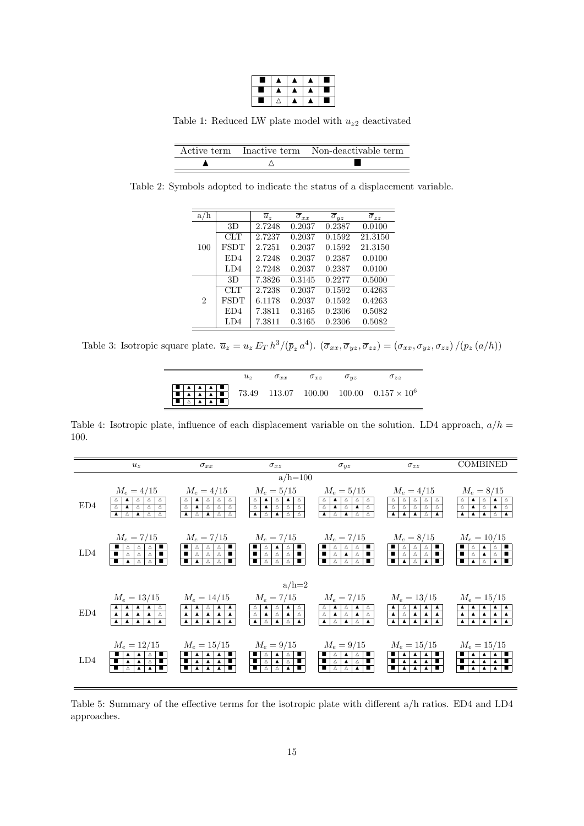|   | ٠ | л |  |
|---|---|---|--|
| а | A | × |  |
|   |   | ٥ |  |

Table 1: Reduced LW plate model with  $u_{z2}$  deactivated

|  | Active term Inactive term Non-deactivable term |
|--|------------------------------------------------|
|  |                                                |

Table 2: Symbols adopted to indicate the status of a displacement variable.

| a/h            |                 | $\overline{u}$ , | $\overline{\sigma}_{xx}$ | $\overline{\sigma}_{uz}$ | $\overline{\sigma}_{zz}$ |
|----------------|-----------------|------------------|--------------------------|--------------------------|--------------------------|
|                | 3D              | 2.7248           | 0.2037                   | 0.2387                   | 0.0100                   |
|                | CLT             | 2.7237           | 0.2037                   | 0.1592                   | 21.3150                  |
| 100            | FSDT            | 2.7251           | 0.2037                   | 0.1592                   | 21.3150                  |
|                | ED4             | 2.7248           | 0.2037                   | 0.2387                   | 0.0100                   |
|                | LD4             | 2.7248           | 0.2037                   | 0.2387                   | 0.0100                   |
|                | 3D              | 7.3826           | 0.3145                   | 0.2277                   | 0.5000                   |
|                | CLT             | 2.7238           | 0.2037                   | 0.1592                   | 0.4263                   |
| $\overline{2}$ | <b>FSDT</b>     | 6.1178           | 0.2037                   | 0.1592                   | 0.4263                   |
|                | ED <sub>4</sub> | 7.3811           | 0.3165                   | 0.2306                   | 0.5082                   |
|                | LD4             | 7.3811           | 0.3165                   | 0.2306                   | 0.5082                   |

Table 3: Isotropic square plate.  $\overline{u}_z = u_z E_T h^3/(\overline{p}_z a^4)$ .  $(\overline{\sigma}_{xx}, \overline{\sigma}_{yz}, \overline{\sigma}_{zz}) = (\sigma_{xx}, \sigma_{yz}, \sigma_{zz})/(p_z(a/h))$ 

| $u_{\alpha}$ | $\sigma_{xx}$ | $\sigma_{xz}$ | $\sigma_{uz}$ | $\sigma_{zz}$                                  |
|--------------|---------------|---------------|---------------|------------------------------------------------|
|              |               |               |               | 73.49 113.07 100.00 100.00 $0.157 \times 10^6$ |

Table 4: Isotropic plate, influence of each displacement variable on the solution. LD4 approach,  $a/h =$ 100.

|     | $u_z$                                                                                                                                | $\sigma_{xx}$                                                                                                                                                                     | $\sigma_{xz}$                                                                                                                                                                                                                                               | $\sigma_{uz}$                                                                                                                                                                                                                                                                                                                | $\sigma_{zz}$                                                                                                                                                                                                                                                            | <b>COMBINED</b>                                                                                                               |
|-----|--------------------------------------------------------------------------------------------------------------------------------------|-----------------------------------------------------------------------------------------------------------------------------------------------------------------------------------|-------------------------------------------------------------------------------------------------------------------------------------------------------------------------------------------------------------------------------------------------------------|------------------------------------------------------------------------------------------------------------------------------------------------------------------------------------------------------------------------------------------------------------------------------------------------------------------------------|--------------------------------------------------------------------------------------------------------------------------------------------------------------------------------------------------------------------------------------------------------------------------|-------------------------------------------------------------------------------------------------------------------------------|
|     |                                                                                                                                      |                                                                                                                                                                                   | $a/h=100$                                                                                                                                                                                                                                                   |                                                                                                                                                                                                                                                                                                                              |                                                                                                                                                                                                                                                                          |                                                                                                                               |
| ED4 | $M_e = 4/15$<br>$\Delta$<br>$\mathfrak{c} \triangle^{-1}$<br>$\Delta$<br>$\Delta$<br>$\Delta^-$<br>$\Delta$                          | $M_e = 4/15$<br>$\Delta$<br>Δ<br>$\frac{\Delta}{\Delta}$<br>$\overline{\Delta}$<br>$\Delta$<br>$\Delta$<br>$\overline{\phantom{a}}$                                               | $M_e = 5/15$<br>$\begin{array}{c c c}\n\Delta & \blacktriangle & \blacktriangle & \blacktriangle & \end{array}$<br>$\frac{\Delta}{\Delta}$<br>$\mathbf{A}$   $\Delta$<br>$\overline{\mathbb{E}}$ )<br>$\Delta$<br>$\Delta$                                  | $M_e = 5/15$<br>$\Delta$<br>$\begin{array}{c c c c c c c c c} \hline \Delta & \Delta & \Delta & \Delta \\ \hline \Delta & \Delta & \Delta & \Delta \end{array}$<br>$\Delta^-$                                                                                                                                                | $M_e = 4/15$<br>$\frac{\Delta}{\Delta}$<br>$\Delta$<br>$\frac{\Delta}{\Delta}$<br>$\overline{\Delta}$<br>$\Delta$<br>$\overline{\Delta}$                                                                                                                                 | $M_e = 8/15$<br>$\triangle$<br>$\frac{\Delta}{\Delta}$<br>$\qquad \qquad \blacktriangle \qquad \triangle$<br>$\blacktriangle$ |
| LD4 | $M_e = 7/15$<br>$\frac{\Delta}{\Delta}$<br>÷<br>Δ<br>$\Delta$<br>$\Delta$                                                            | $M_e = 7/15$<br>ŧ<br>$\frac{1}{\frac{1}{\alpha}}$<br>$\frac{\Delta}{\Delta}$<br>$\frac{\Delta}{\Delta}$                                                                           | $M_e = 7/15$<br>$\begin{array}{c c c} \mathbb{A} & \mathbb{I} \\ \hline \mathbb{A} & \mathbb{I} \\ \hline \end{array}$<br>$\begin{array}{ c c c }\n\hline\n\bullet & \wedge \\ \hline\n\bullet & \wedge\n\end{array}$<br>$\frac{\blacktriangle}{\triangle}$ | $M_e = 7/15$<br>$\begin{array}{ c c c c c }\hline \blacksquare & \triangle & \triangle & \triangle \\ \hline \blacksquare & \triangle & \triangle & \blacktriangle \\ \hline \blacksquare & \triangle & \triangle & \triangle \\ \hline \blacksquare & \triangle & \triangle & \end{array}$<br>┪┙<br>$\frac{\Delta}{\Delta}$ | $M_e = 8/15$<br>$\begin{array}{ c c c }\n\hline\n\textbf{B} & \Delta \\ \hline\n\textbf{C} & \Delta\n\end{array}$<br>$\begin{array}{c c c c} \n\hline\n\text{A} & \text{I} & \text{I} \\ \hline\n\text{A} & \text{I} & \text{I}\n\end{array}$<br>$\frac{\Delta}{\Delta}$ | $M_e = 10/15$<br>╬╫<br>$\frac{\Delta}{\Delta}$<br>$\overline{\phantom{a}}$<br>$\Delta$                                        |
|     |                                                                                                                                      |                                                                                                                                                                                   | $a/h=2$                                                                                                                                                                                                                                                     |                                                                                                                                                                                                                                                                                                                              |                                                                                                                                                                                                                                                                          |                                                                                                                               |
| ED4 | $M_e = 13/15$<br>$\begin{array}{ c c c }\n\hline\n\text{A} & \Delta \\ \hline\n\text{A} & \Delta\n\end{array}$<br>$\frac{1}{\Delta}$ | $M_e = 14/15$<br>$\frac{\triangle}{\blacktriangle}$<br>$\frac{1}{4}$<br>$\begin{array}{ c c c }\n\hline\n\textbf{A} & \textbf{A} \\ \hline\n\textbf{A} & \textbf{A}\n\end{array}$ | $M_e = 7/15$<br>$\begin{array}{ c } \hline \Delta \\ \hline \Delta \\ \end{array}$<br>$\begin{array}{c c c c} \hline \textbf{A} & \Delta \\ \hline \textbf{A} & \Delta \end{array}$<br>$\frac{\triangle}{\triangle}$                                        | $M_e = 7/15$<br>$\begin{array}{c c} \Delta \\ \Delta \end{array}$<br>$\frac{\triangle}{\triangle}$<br>$\begin{array}{c c c c} \hline \textbf{A} & \Delta \\ \hline \textbf{A} & \Delta \end{array}$<br>$\frac{1}{2}$<br>$\blacktriangle$                                                                                     | $M_e = 13/15$<br>$\frac{1}{4}$<br>$\begin{array}{ c } \hline \Delta \\ \hline \Delta \end{array}$<br>$\frac{\blacktriangle}{\blacktriangle}$<br>$\frac{\triangle}{\triangle}$                                                                                            | $M_e = 15/15$<br>$\frac{\Delta}{\Delta}$<br>$\blacktriangle$<br>$\frac{1}{\sqrt{2}}$<br>$\overline{\phantom{a}}$              |
| LD4 | $M_e = 12/15$<br>П                                                                                                                   | $M_e = 15/15$<br>∎∣∡<br>П                                                                                                                                                         | $M_e = 9/15$<br>÷<br>т<br>$\Delta$<br>$\cdot$ $\bar{\triangle}$ $\cdot$<br>п                                                                                                                                                                                | $M_e = 9/15$<br>П<br>П<br>$\Delta^-$<br>$\Delta$<br>т                                                                                                                                                                                                                                                                        | $M_e = 15/15$<br>т<br>т                                                                                                                                                                                                                                                  | $M_e = 15/15$<br>÷                                                                                                            |

Table 5: Summary of the effective terms for the isotropic plate with different a/h ratios. ED4 and LD4 approaches.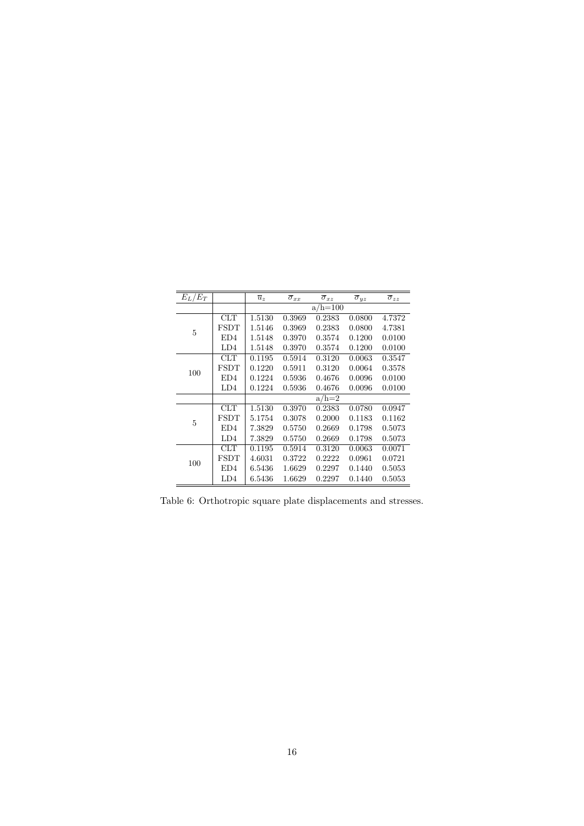| $E_L/E_T$ |                 | $\overline{u}_z$ | $\overline{\sigma}_{xx}$ | $\overline{\sigma}_{xz}$ | $\overline{\sigma}_{yz}$ | $\overline{\sigma}_{zz}$ |
|-----------|-----------------|------------------|--------------------------|--------------------------|--------------------------|--------------------------|
|           |                 |                  |                          | $a/h = 100$              |                          |                          |
|           | CLT             | 1.5130           | 0.3969                   | 0.2383                   | 0.0800                   | 4.7372                   |
| 5         | <b>FSDT</b>     | 1.5146           | 0.3969                   | 0.2383                   | 0.0800                   | 4.7381                   |
|           | ED <sub>4</sub> | 1.5148           | 0.3970                   | 0.3574                   | 0.1200                   | 0.0100                   |
|           | LD <sub>4</sub> | 1.5148           | 0.3970                   | 0.3574                   | 0.1200                   | 0.0100                   |
|           | CLT             | 0.1195           | 0.5914                   | 0.3120                   | 0.0063                   | 0.3547                   |
| 100       | <b>FSDT</b>     | 0.1220           | 0.5911                   | 0.3120                   | 0.0064                   | 0.3578                   |
|           | ED <sub>4</sub> | 0.1224           | 0.5936                   | 0.4676                   | 0.0096                   | 0.0100                   |
|           | LD4             | 0.1224           | 0.5936                   | 0.4676                   | 0.0096                   | 0.0100                   |
|           |                 |                  |                          | $a/h=2$                  |                          |                          |
|           | <b>CLT</b>      | 1.5130           | 0.3970                   | 0.2383                   | 0.0780                   | 0.0947                   |
| 5         | FSDT            | 5.1754           | 0.3078                   | 0.2000                   | 0.1183                   | 0.1162                   |
|           | ED <sub>4</sub> | 7.3829           | 0.5750                   | 0.2669                   | 0.1798                   | 0.5073                   |
|           | LD4             | 7.3829           | 0.5750                   | 0.2669                   | 0.1798                   | 0.5073                   |
|           | CLT             | 0.1195           | 0.5914                   | 0.3120                   | 0.0063                   | 0.0071                   |
|           | <b>FSDT</b>     | 4.6031           | 0.3722                   | 0.2222                   | 0.0961                   | 0.0721                   |
| 100       | ED <sub>4</sub> | 6.5436           | 1.6629                   | 0.2297                   | 0.1440                   | 0.5053                   |
|           | LD4             | 6.5436           | 1.6629                   | 0.2297                   | 0.1440                   | 0.5053                   |

Table 6: Orthotropic square plate displacements and stresses.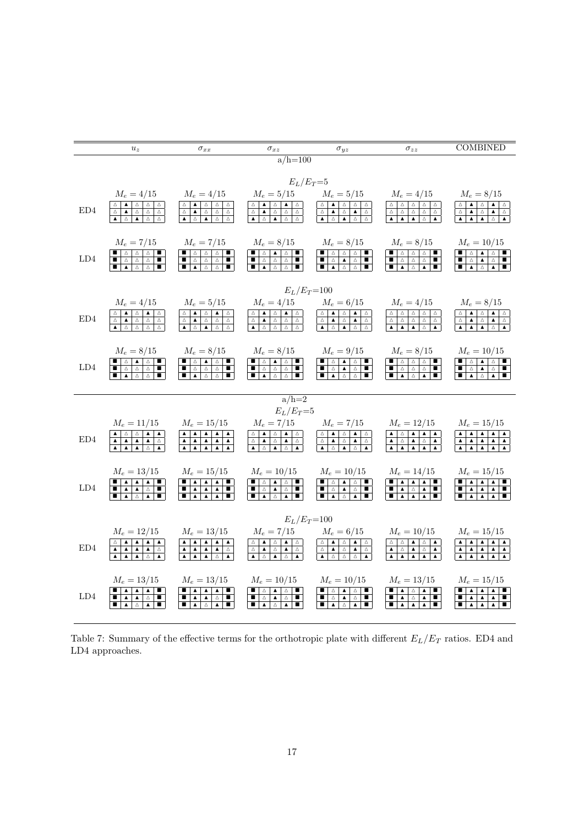|             | $u_z$                                                                                                                                                                                                                                                                                                                                                                                                                                                     | $\sigma_{xx}$                                                                                                                                                                                                                                                                                                                      | $\sigma_{xz}$                                                                                                                                                                                                                                                                                                                                                       | $\sigma_{uz}$                                                                                                                                                                                                                                                                                                       | $\sigma_{zz}$                                                                                                                                                                                                                                                                                                                                                                                                                                                                                                       | <b>COMBINED</b>                                                                                                                                                                                                                                                                                                                                                                                                                                                                                                                             |
|-------------|-----------------------------------------------------------------------------------------------------------------------------------------------------------------------------------------------------------------------------------------------------------------------------------------------------------------------------------------------------------------------------------------------------------------------------------------------------------|------------------------------------------------------------------------------------------------------------------------------------------------------------------------------------------------------------------------------------------------------------------------------------------------------------------------------------|---------------------------------------------------------------------------------------------------------------------------------------------------------------------------------------------------------------------------------------------------------------------------------------------------------------------------------------------------------------------|---------------------------------------------------------------------------------------------------------------------------------------------------------------------------------------------------------------------------------------------------------------------------------------------------------------------|---------------------------------------------------------------------------------------------------------------------------------------------------------------------------------------------------------------------------------------------------------------------------------------------------------------------------------------------------------------------------------------------------------------------------------------------------------------------------------------------------------------------|---------------------------------------------------------------------------------------------------------------------------------------------------------------------------------------------------------------------------------------------------------------------------------------------------------------------------------------------------------------------------------------------------------------------------------------------------------------------------------------------------------------------------------------------|
|             |                                                                                                                                                                                                                                                                                                                                                                                                                                                           |                                                                                                                                                                                                                                                                                                                                    | $a/h = 100$                                                                                                                                                                                                                                                                                                                                                         |                                                                                                                                                                                                                                                                                                                     |                                                                                                                                                                                                                                                                                                                                                                                                                                                                                                                     |                                                                                                                                                                                                                                                                                                                                                                                                                                                                                                                                             |
|             |                                                                                                                                                                                                                                                                                                                                                                                                                                                           |                                                                                                                                                                                                                                                                                                                                    | $E_L/E_T=5$                                                                                                                                                                                                                                                                                                                                                         |                                                                                                                                                                                                                                                                                                                     |                                                                                                                                                                                                                                                                                                                                                                                                                                                                                                                     |                                                                                                                                                                                                                                                                                                                                                                                                                                                                                                                                             |
|             | $M_e = 4/15$                                                                                                                                                                                                                                                                                                                                                                                                                                              | $M_e = 4/15$                                                                                                                                                                                                                                                                                                                       | $M_e = 5/15$                                                                                                                                                                                                                                                                                                                                                        | $M_e = 5/15$                                                                                                                                                                                                                                                                                                        | $M_e = 4/15$                                                                                                                                                                                                                                                                                                                                                                                                                                                                                                        | $M_e = 8/15$                                                                                                                                                                                                                                                                                                                                                                                                                                                                                                                                |
| ED4         | $\Delta$<br>$\blacktriangle$<br>$\triangle$   $\triangle$<br>$\Delta$<br>$\Delta$<br>$\Delta$                                                                                                                                                                                                                                                                                                                                                             | Δ∣<br>$\Delta$<br>$\Delta$<br>$\Delta$<br>$\Delta^-$<br>$\blacktriangle$<br>$\Delta$<br>$\Delta$<br>$\Delta$                                                                                                                                                                                                                       | $\Delta$<br>∆ ∣<br>$\blacktriangle$<br>$\blacktriangle$<br>Δ<br>$\Delta$<br>$\Delta^-$<br>$\blacktriangle$<br>$\Delta$<br>$\Delta$                                                                                                                                                                                                                                  | $\blacktriangle$<br>$\Delta$<br>Δ<br>$\Delta$<br>$\Delta$<br>$\blacktriangle$<br>$\Delta$<br>Δ<br>$\blacktriangle$<br>$\Delta$                                                                                                                                                                                      | $\Delta$<br>$\Delta$<br>$\Delta$<br>$\Delta$<br>$\Delta$<br>$\Delta^-$<br>$\Delta^-$<br>$\Delta$<br>$\Delta$<br>$\Delta$                                                                                                                                                                                                                                                                                                                                                                                            | $\blacktriangle$<br>$\Delta$<br>Δ<br>$\blacktriangle$<br>$\Delta$<br>$\Delta$<br>$\blacktriangle$<br>$\Delta$                                                                                                                                                                                                                                                                                                                                                                                                                               |
|             | $\Delta$ $\Delta$                                                                                                                                                                                                                                                                                                                                                                                                                                         | $\overline{\bullet}$ $\overline{\circ}$<br>$\overline{\phantom{a}}$<br>$\Delta$<br>$\Delta^-$                                                                                                                                                                                                                                      | $\blacktriangle$ $\blacktriangle$ $\blacktriangle$<br>$\Delta$<br>$\blacktriangle$<br>$\Delta$                                                                                                                                                                                                                                                                      | $\Delta$<br>$\overline{\blacktriangle}$<br>$\overline{\Delta}$<br>$\Delta^-$                                                                                                                                                                                                                                        | $\overline{\blacktriangle}$<br>$\Delta^-$<br>$\overline{\phantom{a}}$                                                                                                                                                                                                                                                                                                                                                                                                                                               | $\overline{\blacktriangle}$<br>$\overline{\blacktriangle}$<br>$\overline{\phantom{0}}$<br>$\Delta^-$                                                                                                                                                                                                                                                                                                                                                                                                                                        |
|             | $M_e = 7/15$                                                                                                                                                                                                                                                                                                                                                                                                                                              | $M_e = 7/15$                                                                                                                                                                                                                                                                                                                       | $M_e = 8/15$                                                                                                                                                                                                                                                                                                                                                        | $M_e = 8/15$                                                                                                                                                                                                                                                                                                        | $M_e = 8/15$                                                                                                                                                                                                                                                                                                                                                                                                                                                                                                        | $M_e = 10/15$                                                                                                                                                                                                                                                                                                                                                                                                                                                                                                                               |
| LD4         | $\begin{array}{c c c c c c c c c} \hline \blacksquare & \triangle & \triangle & \blacksquare & \blacksquare \end{array}$<br>$\blacksquare$ $\triangle$ $\triangle$ $\blacksquare$                                                                                                                                                                                                                                                                         | ш                                                                                                                                                                                                                                                                                                                                  | $\begin{array}{ c c c c c c }\hline \blacksquare & \triangle & \triangle & \blacksquare & \blacksquare \\ \hline \blacksquare & \triangle & \triangle & \triangle & \blacksquare \\ \hline \blacksquare & \triangle & \triangle & \triangle & \blacksquare \\ \hline \end{array}$                                                                                   |                                                                                                                                                                                                                                                                                                                     | $\begin{array}{ c c c c c c }\hline \blacksquare & \triangle & \triangle & \triangle & \blacksquare \\ \hline \blacksquare & \triangle & \triangle & \triangle & \blacksquare \\ \rule{0.2cm}{ c c c } \multicolumn{3}{ c }{\blacktriangle} & \triangle & \triangle & \blacksquare \\ \rule{0.2cm}{ c c c } \multicolumn{3}{ c }{\blacktriangle} & \triangle & \triangle & \blacksquare \\ \hline \blacksquare & \multicolumn{3}{ c }{\blacktriangle} & \triangle & \triangle & \blacksquare \\ \hline \end{array}$ | ш                                                                                                                                                                                                                                                                                                                                                                                                                                                                                                                                           |
|             |                                                                                                                                                                                                                                                                                                                                                                                                                                                           | $\blacksquare$                                                                                                                                                                                                                                                                                                                     | $\blacksquare$ $\blacksquare$ $\Box$<br>$\Delta$                                                                                                                                                                                                                                                                                                                    |                                                                                                                                                                                                                                                                                                                     |                                                                                                                                                                                                                                                                                                                                                                                                                                                                                                                     | $\frac{1}{\frac{1}{\sqrt{2}}}$<br>$\begin{array}{c c c c}\n\hline\n\text{A} & \text{A} & \text{A} \\ \hline\n\text{A} & \text{A}\n\end{array}$                                                                                                                                                                                                                                                                                                                                                                                              |
|             |                                                                                                                                                                                                                                                                                                                                                                                                                                                           |                                                                                                                                                                                                                                                                                                                                    | $E_L/E_T = 100$                                                                                                                                                                                                                                                                                                                                                     |                                                                                                                                                                                                                                                                                                                     |                                                                                                                                                                                                                                                                                                                                                                                                                                                                                                                     |                                                                                                                                                                                                                                                                                                                                                                                                                                                                                                                                             |
|             | $M_e = 4/15$                                                                                                                                                                                                                                                                                                                                                                                                                                              | $M_e = 5/15$                                                                                                                                                                                                                                                                                                                       | $M_e = 4/15$                                                                                                                                                                                                                                                                                                                                                        | $M_e = 6/15$                                                                                                                                                                                                                                                                                                        | $M_e = 4/15$                                                                                                                                                                                                                                                                                                                                                                                                                                                                                                        | $M_e = 8/15$                                                                                                                                                                                                                                                                                                                                                                                                                                                                                                                                |
| ED4         | $\begin{array}{ c c c c c c }\hline\bigtriangleup & \blacktriangle & \bigtriangleup & \blacktriangle & \bigtriangleup \\ \hline \bigtriangleup & \blacktriangle & \bigtriangleup & \bigtriangleup & \bigtriangleup & \bigtriangleup \\ \hline \bigtriangleup & \blacktriangle & \bigtriangleup & \bigtriangleup & \bigtriangleup & \bigtriangleup \end{array}$<br>$\begin{array}{c c c c c c c c c} \hline \Delta & \Delta & \Delta & \Delta \end{array}$ | $\begin{array}{c c c c c c c c c} \hline \textbf{A} & \Delta & \Delta & \Delta \\ \hline \textbf{A} & \Delta & \Delta & \Delta \end{array}$<br>$\Delta$<br>$\begin{tabular}{c c c c} A & A \\ \hline \end{tabular}$<br>$\begin{array}{ c c c c }\n\hline\n\textbf{A} & \Delta & \textbf{A}\n\end{array}$<br>$\Delta^-$<br>$\Delta$ | $\triangle$ $\blacktriangle$<br>$\begin{array}{c c c c} \Delta & \blacktriangle & \\ \hline \Delta & \Delta \end{array}$<br>$\Delta$<br>$\Delta$   $\blacktriangle$<br>$\Delta$<br>$\blacktriangle$ $\triangle$ $\triangleright$<br>$\Delta$<br>$\Delta$                                                                                                            | $\triangle$ $\blacktriangle$<br>$\begin{array}{c c c c c c} \Delta & \Delta & \Delta \\ \hline \Delta & \Delta & \Delta \end{array}$<br>$\bar{1}$<br>$\Delta^-$<br>$\blacktriangle$ $\blacktriangle$<br>$\blacktriangle$<br>$\Delta$<br>$\Delta$                                                                    | $\blacktriangle$ $\blacktriangle$<br>$\overline{\phantom{a}}$<br>$\Delta$ $\Delta$                                                                                                                                                                                                                                                                                                                                                                                                                                  | $\frac{\triangle}{\triangle}$<br>$\blacktriangle$<br>$\triangle$   $\blacktriangle$  <br>$\Delta$<br>$\blacktriangle$<br>$\blacktriangle$<br>$\bigtriangleup$<br>$\overline{\bullet}$ $\overline{\bullet}$<br>$\begin{array}{ c c c }\n\hline\n\bullet & \vartriangle & \end{array}$                                                                                                                                                                                                                                                        |
|             |                                                                                                                                                                                                                                                                                                                                                                                                                                                           |                                                                                                                                                                                                                                                                                                                                    |                                                                                                                                                                                                                                                                                                                                                                     |                                                                                                                                                                                                                                                                                                                     |                                                                                                                                                                                                                                                                                                                                                                                                                                                                                                                     |                                                                                                                                                                                                                                                                                                                                                                                                                                                                                                                                             |
|             | $M_e = 8/15$                                                                                                                                                                                                                                                                                                                                                                                                                                              | $M_e = 8/15$<br>$\blacksquare$                                                                                                                                                                                                                                                                                                     | $M_e = 8/15$                                                                                                                                                                                                                                                                                                                                                        | $M_e = 9/15$                                                                                                                                                                                                                                                                                                        | $M_e = 8/15$                                                                                                                                                                                                                                                                                                                                                                                                                                                                                                        | $M_e = 10/15$                                                                                                                                                                                                                                                                                                                                                                                                                                                                                                                               |
| LD4         | $\begin{array}{ c c c c c c }\hline \blacksquare & \triangle & \triangle & \blacksquare & \blacksquare \\ \hline \blacksquare & \triangle & \triangle & \triangle & \blacksquare \\ \hline \blacksquare & \triangle & \triangle & \triangle & \blacksquare \\ \hline \end{array}$<br>$\Delta$<br>$\Delta$                                                                                                                                                 | $\begin{array}{ c c c c c }\hline \textbf{A} & \Delta & \Delta \\ \hline \textbf{A} & \Delta & \Delta \\ \hline \textbf{A} & \Delta & \Delta \\ \hline \end{array}$<br>т<br>П                                                                                                                                                      | $\begin{array}{ c c c c c c }\hline \blacksquare & \triangle & \triangle & \blacksquare & \blacksquare \\ \hline \blacksquare & \triangle & \triangle & \triangle & \square & \blacksquare \\ \hline \blacksquare & \triangle & \triangle & \triangle & \square & \blacksquare \\ \hline \end{array}$<br>$\Delta$<br>$\blacktriangle$<br>$\Delta$<br>$\blacksquare$ | $\begin{array}{ c c c }\n\hline\n\textbf{I} & \Delta \\ \hline\n\textbf{I} & \Delta \\ \hline\n\textbf{I} & \textbf{A}\n\end{array}$<br>$\begin{array}{c c c c c} \textbf{A} & \Delta & \textbf{I} & \textbf{I} \\ \hline \textbf{A} & \Delta & \textbf{I} & \textbf{I} \end{array}$<br>$\Delta^-$<br>$\Delta$<br>П | $\begin{array}{c c c c} \hline \textbf{I} & \Delta \\ \hline \textbf{I} & \Delta \\ \hline \textbf{I} & \textbf{A} \end{array}$<br>$\begin{array}{c c c c c} \Delta & \Delta & \blacksquare \\ \hline \Delta & \Delta & \blacksquare \\ \hline \Delta & \blacktriangle & \blacksquare \end{array}$                                                                                                                                                                                                                  | $\begin{array}{c}\Delta\\ \Delta\end{array}$<br>$\begin{array}{ c c c }\n\hline\n\bullet & \vartriangle & \end{array}$<br>T<br>$\blacktriangle$<br>$\Delta$<br>П<br>$\blacksquare$<br>$\blacktriangle$<br>$\Delta$                                                                                                                                                                                                                                                                                                                          |
|             |                                                                                                                                                                                                                                                                                                                                                                                                                                                           |                                                                                                                                                                                                                                                                                                                                    |                                                                                                                                                                                                                                                                                                                                                                     |                                                                                                                                                                                                                                                                                                                     |                                                                                                                                                                                                                                                                                                                                                                                                                                                                                                                     |                                                                                                                                                                                                                                                                                                                                                                                                                                                                                                                                             |
|             |                                                                                                                                                                                                                                                                                                                                                                                                                                                           |                                                                                                                                                                                                                                                                                                                                    | $a/h=2$<br>$E_L/E_T=5$                                                                                                                                                                                                                                                                                                                                              |                                                                                                                                                                                                                                                                                                                     |                                                                                                                                                                                                                                                                                                                                                                                                                                                                                                                     |                                                                                                                                                                                                                                                                                                                                                                                                                                                                                                                                             |
|             | $M_e = 11/15$                                                                                                                                                                                                                                                                                                                                                                                                                                             | $M_e = 15/15$                                                                                                                                                                                                                                                                                                                      | $M_e = 7/15$                                                                                                                                                                                                                                                                                                                                                        | $M_e = 7/15$                                                                                                                                                                                                                                                                                                        | $M_e = 12/15$                                                                                                                                                                                                                                                                                                                                                                                                                                                                                                       | $M_e = 15/15$                                                                                                                                                                                                                                                                                                                                                                                                                                                                                                                               |
| ED4         | $\blacktriangle$<br>$\blacktriangle$<br>$\blacktriangle$<br>$\Delta$                                                                                                                                                                                                                                                                                                                                                                                      | $\blacktriangle$<br>$\blacktriangle$<br>$\blacktriangle$<br>$\blacktriangle$                                                                                                                                                                                                                                                       | $\triangle$ $\triangle$ $\triangle$ $\triangle$<br>$\triangle$<br>$\triangle$   $\blacktriangle$<br>Δ<br>$\blacktriangle$<br>Δ                                                                                                                                                                                                                                      | $\Delta^-$<br>$\overline{\phantom{a}}$<br>$\Delta_-$<br>$\Delta$<br>$\blacktriangle$<br>$\triangle$                                                                                                                                                                                                                 | $\begin{array}{c c c c c c c c c} \hline \textbf{A} & \Delta & \textbf{A} & \textbf{A} \end{array}$<br>$\blacktriangle$<br>$\frac{\triangle}{\blacktriangle}$<br>$\blacktriangle$<br>$\triangle{}$<br>$\blacktriangle$                                                                                                                                                                                                                                                                                              | $\blacktriangle$<br>$\blacktriangle$<br>$\blacktriangle$ $\blacktriangle$<br>$\blacktriangle$<br>$\blacktriangle$                                                                                                                                                                                                                                                                                                                                                                                                                           |
|             | $\Delta$ $\blacktriangle$                                                                                                                                                                                                                                                                                                                                                                                                                                 |                                                                                                                                                                                                                                                                                                                                    | $\blacktriangle$ $\blacktriangle$ $\blacktriangle$<br>$\Delta$<br>$\blacktriangle$                                                                                                                                                                                                                                                                                  | $\overline{\blacktriangle}$                                                                                                                                                                                                                                                                                         | $\overline{\phantom{a}}$                                                                                                                                                                                                                                                                                                                                                                                                                                                                                            | $\overline{\bullet}$ $\overline{\bullet}$<br>$\overline{\phantom{a}}$                                                                                                                                                                                                                                                                                                                                                                                                                                                                       |
|             | $M_e = 13/15$                                                                                                                                                                                                                                                                                                                                                                                                                                             | $M_e = 15/15$                                                                                                                                                                                                                                                                                                                      | $M_e = 10/15$                                                                                                                                                                                                                                                                                                                                                       | $M_e = 10/15$                                                                                                                                                                                                                                                                                                       | $M_e = 14/15$                                                                                                                                                                                                                                                                                                                                                                                                                                                                                                       | $M_e = 15/15$                                                                                                                                                                                                                                                                                                                                                                                                                                                                                                                               |
| ${\rm LD4}$ | $\blacktriangle$<br>$\begin{array}{ c c c }\n\hline\n\textbf{A} & \textbf{A} \\ \hline\n\textbf{A} & \textbf{A} \\ \hline\n\textbf{A} & \textbf{A}\n\end{array}$<br>т<br>$\Delta$<br>ш                                                                                                                                                                                                                                                                    | $\begin{array}{ c c c c }\n\hline\n\textbf{B} & \textbf{A} & \textbf{A} \\ \hline\n\textbf{B} & \textbf{A} & \textbf{A} \\ \hline\n\textbf{B} & \textbf{A} & \textbf{A} \\ \hline\n\end{array}$<br>п<br>т<br>$\overline{\blacktriangle}$                                                                                           | $\begin{tabular}{ c c c c } \hline \quad \quad & \Delta & \quad \quad \\ \hline \quad \quad & \Delta & \quad \quad \\ \hline \quad \quad & \Delta & \quad \quad \\ \hline \end{tabular}$<br>$\Delta$<br>т<br>$\frac{\triangle}{\triangle}$<br>$\Delta$<br>$\blacksquare$                                                                                            | $\begin{array}{c c c c} \hline \textbf{I} & \Delta \\ \hline \textbf{I} & \Delta \\ \hline \textbf{I} & \textbf{A} \end{array}$<br>$\Delta$<br>п<br>$\begin{array}{c}\n\blacktriangle \\ \blacktriangle \\ \end{array}$<br>т<br>$\Delta$                                                                            | $\frac{\bullet}{\bullet}$<br>$\blacktriangle$<br>п<br>ŧ<br>$\frac{\blacktriangle}{\triangle}$<br>$\blacktriangle$<br>т                                                                                                                                                                                                                                                                                                                                                                                              | $\blacktriangle$<br>÷<br>$\blacktriangle$<br>$\frac{\mathbf{A}}{\mathbf{A}}$<br>$\frac{1}{\sqrt{1-\frac{1}{2}}}\frac{1}{\sqrt{1-\frac{1}{2}}}\frac{1}{\sqrt{1-\frac{1}{2}}}\frac{1}{\sqrt{1-\frac{1}{2}}}\frac{1}{\sqrt{1-\frac{1}{2}}}\frac{1}{\sqrt{1-\frac{1}{2}}}\frac{1}{\sqrt{1-\frac{1}{2}}}\frac{1}{\sqrt{1-\frac{1}{2}}}\frac{1}{\sqrt{1-\frac{1}{2}}}\frac{1}{\sqrt{1-\frac{1}{2}}}\frac{1}{\sqrt{1-\frac{1}{2}}}\frac{1}{\sqrt{1-\frac{1}{2}}}\frac{1}{\sqrt{1-\frac{1}{2}}}\frac{1}{\sqrt{1-\frac{$<br>$\overline{\phantom{a}}$ |
|             | $\blacksquare$<br>п                                                                                                                                                                                                                                                                                                                                                                                                                                       | п                                                                                                                                                                                                                                                                                                                                  | $\overline{\Delta}$<br>П<br>$\blacktriangle$<br>$\blacktriangle$<br>п                                                                                                                                                                                                                                                                                               | $\blacktriangle$<br>т                                                                                                                                                                                                                                                                                               | т                                                                                                                                                                                                                                                                                                                                                                                                                                                                                                                   | $\blacktriangle$                                                                                                                                                                                                                                                                                                                                                                                                                                                                                                                            |
|             |                                                                                                                                                                                                                                                                                                                                                                                                                                                           |                                                                                                                                                                                                                                                                                                                                    | $E_L/E_T = 100$                                                                                                                                                                                                                                                                                                                                                     |                                                                                                                                                                                                                                                                                                                     |                                                                                                                                                                                                                                                                                                                                                                                                                                                                                                                     |                                                                                                                                                                                                                                                                                                                                                                                                                                                                                                                                             |
|             | $M_e = 12/15$                                                                                                                                                                                                                                                                                                                                                                                                                                             | $M_e = 13/15$<br>$\blacktriangle$                                                                                                                                                                                                                                                                                                  | $M_e = 7/15$<br>$\Delta$                                                                                                                                                                                                                                                                                                                                            | $M_e = 6/15$<br>$\triangle$   $\blacktriangle$  <br>$\triangle$ $\blacktriangle$<br>$\Delta^-$                                                                                                                                                                                                                      | $M_e = 10/15$                                                                                                                                                                                                                                                                                                                                                                                                                                                                                                       | $M_e = 15/15$<br>$\blacksquare$<br>$\blacktriangle$ $\blacktriangle$ $\blacktriangle$                                                                                                                                                                                                                                                                                                                                                                                                                                                       |
| ED4         | $\blacktriangle$<br>$\blacktriangle$<br>$\blacktriangle$<br>$\Delta$<br>$\Delta$ $\Delta$                                                                                                                                                                                                                                                                                                                                                                 | $\begin{array}{ c c c c }\hline \textbf{A} & \textbf{A} & \textbf{A} \\ \hline \textbf{A} & \textbf{A} & \textbf{A} \\ \hline \end{array}$<br>$\blacktriangle$<br>$\triangle{}$<br>$\Delta^-$<br>$\blacktriangle$                                                                                                                  | $\begin{array}{ c c }\hline \multicolumn{1}{ c }{\blacktriangle} \\ \hline \multicolumn{1}{ c }{\blacktriangle} \\ \hline \multicolumn{1}{ c }{\blacktriangle} \end{array}$<br>$\Delta$<br>$\Delta$<br>$\blacktriangle$<br>$\Delta$<br>$\overline{\phantom{a}}$<br>$\overline{\underline{\bigtriangleup}}$<br>$\blacktriangle$                                      | $\blacktriangle$<br>$\Delta$<br>$\Delta^-$<br>$\Delta_-$<br>$\blacktriangle$<br>$\Delta$<br>$\overline{\blacktriangle}$<br>$\overline{\Delta}$<br>$\overline{\Delta}$                                                                                                                                               | $\frac{\triangle}{\blacktriangle}$<br>$\blacktriangle$<br>$\frac{\Delta}{\blacktriangle}$<br>$\blacktriangle$<br>$\frac{\blacktriangle}{\blacktriangle}$<br>$\overline{\blacktriangle}$                                                                                                                                                                                                                                                                                                                             | $\frac{\triangle}{\triangle}$<br>$\frac{\blacktriangle}{\blacktriangle}$<br>$\blacktriangle$<br>$\blacktriangle$<br>$\blacktriangle$<br>$\overline{\blacktriangle}$<br>−                                                                                                                                                                                                                                                                                                                                                                    |
|             |                                                                                                                                                                                                                                                                                                                                                                                                                                                           |                                                                                                                                                                                                                                                                                                                                    |                                                                                                                                                                                                                                                                                                                                                                     |                                                                                                                                                                                                                                                                                                                     |                                                                                                                                                                                                                                                                                                                                                                                                                                                                                                                     |                                                                                                                                                                                                                                                                                                                                                                                                                                                                                                                                             |
|             | $M_e = 13/15$<br>$\blacksquare$ $\blacksquare$ $\blacksquare$                                                                                                                                                                                                                                                                                                                                                                                             | $M_e = 13/15$<br>▉▏▙▏▙<br>$\blacktriangle$<br>т                                                                                                                                                                                                                                                                                    | $M_e = 10/15$<br>$\blacksquare$                                                                                                                                                                                                                                                                                                                                     | $M_e = 10/15$<br>$\blacksquare$ $\Delta$<br>$\Delta$<br>$\blacksquare$<br>$\blacktriangle$                                                                                                                                                                                                                          | $M_e = 13/15$<br>$\blacksquare$ $\blacktriangle$<br>$\Delta^-$<br>$\begin{array}{c c c c c} \hline \multicolumn{3}{c }{\blacktriangle} & \multicolumn{3}{c }{\blacksquare} \end{array}$                                                                                                                                                                                                                                                                                                                             | $M_e = 15/15$<br>$\blacktriangle$<br>$\blacktriangle$<br>$\blacktriangle$                                                                                                                                                                                                                                                                                                                                                                                                                                                                   |
| LD4         | $\overline{\phantom{a}}$<br>$\Delta^-$<br>$\blacksquare$                                                                                                                                                                                                                                                                                                                                                                                                  | $\blacktriangle$<br>$\overline{\phantom{a}}$<br>$\Delta$<br>п<br>■▲<br>$\blacksquare$                                                                                                                                                                                                                                              | $\overline{\blacktriangle}$<br>$\Delta$<br>$\Delta$<br>ш<br>$\blacksquare$                                                                                                                                                                                                                                                                                          | $\Delta$<br>$\overline{\blacktriangle}$<br>$\Delta$<br>■<br>$\blacksquare$<br>$\overline{\blacktriangle}$                                                                                                                                                                                                           | $\blacktriangle$<br>$\Delta$<br>$\overline{\blacktriangle}$<br>т<br>т                                                                                                                                                                                                                                                                                                                                                                                                                                               | $\overline{\blacktriangle}$<br>$\overline{\blacktriangle}$<br>т<br>$\overline{\textbf{A}}$                                                                                                                                                                                                                                                                                                                                                                                                                                                  |

Table 7: Summary of the effective terms for the orthotropic plate with different  $E_L/E_T$  ratios. ED4 and LD4 approaches.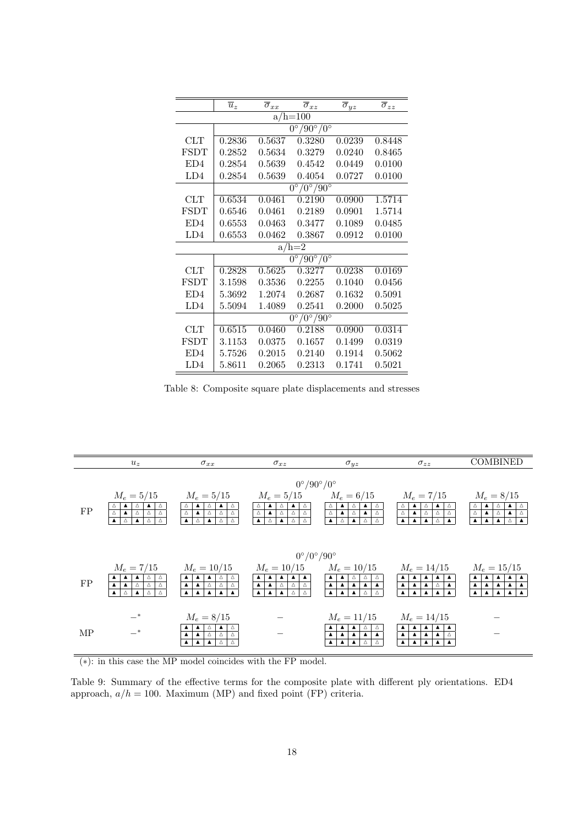|                 | $\overline{u}_z$ | $\overline{\sigma}_{xx}$ | $\overline{\sigma}_{xz}$               | $\overline{\sigma}_{yz}$ | $\overline{\sigma}_{zz}$ |  |  |
|-----------------|------------------|--------------------------|----------------------------------------|--------------------------|--------------------------|--|--|
| $a/h = 100$     |                  |                          |                                        |                          |                          |  |  |
|                 |                  |                          | $0^{\circ}/90^{\circ}/0^{\circ}$       |                          |                          |  |  |
| CLT             | 0.2836           | $\;\:0.5637$             | 0.3280                                 | 0.0239                   | 0.8448                   |  |  |
| FSDT            | 0.2852           | 0.5634                   | 0.3279                                 | 0.0240                   | 0.8465                   |  |  |
| ED4             | 0.2854           | 0.5639                   | 0.4542                                 | 0.0449                   | 0.0100                   |  |  |
| LD4             | 0.2854           | 0.5639                   | 0.4054                                 | 0.0727                   | 0.0100                   |  |  |
|                 |                  |                          | $0^\circ/0^\circ/90^\circ$             |                          |                          |  |  |
| CLT             | 0.6534           | 0.0461                   | 0.2190                                 | 0.0900                   | 1.5714                   |  |  |
| FSDT            | 0.6546           | 0.0461                   | 0.2189                                 | 0.0901                   | 1.5714                   |  |  |
| ED <sub>4</sub> | 0.6553           | 0.0463                   | 0.3477                                 | 0.1089                   | 0.0485                   |  |  |
| LD4             | 0.6553           | 0.0462                   | 0.3867                                 | 0.0912                   | 0.0100                   |  |  |
|                 |                  |                          | $a/h=2$                                |                          |                          |  |  |
|                 |                  |                          | $90^{\circ}/0^{\circ}$<br>$0^{\circ}$  |                          |                          |  |  |
| <b>CLT</b>      | 0.2828           | 0.5625                   | 0.3277                                 | 0.0238                   | 0.0169                   |  |  |
| FSDT            | 3.1598           | 0.3536                   | 0.2255                                 | 0.1040                   | 0.0456                   |  |  |
| ED4             | 5.3692           | 1.2074                   | 0.2687                                 | 0.1632                   | 0.5091                   |  |  |
| LD4             | 5.5094           | 1.4089                   | 0.2541                                 | 0.2000                   | 0.5025                   |  |  |
|                 |                  |                          | $/0^{\circ}/90^{\circ}$<br>$0^{\circ}$ |                          |                          |  |  |
| <b>CLT</b>      | 0.6515           | 0.0460                   | 0.2188                                 | 0.0900                   | 0.0314                   |  |  |
| <b>FSDT</b>     | 3.1153           | 0.0375                   | 0.1657                                 | 0.1499                   | 0.0319                   |  |  |
| ED4             | 5.7526           | 0.2015                   | 0.2140                                 | 0.1914                   | 0.5062                   |  |  |
| LD4             | 5.8611           | 0.2065                   | 0.2313                                 | 0.1741                   | 0.5021                   |  |  |

Table 8: Composite square plate displacements and stresses



(∗): in this case the MP model coincides with the FP model.

Table 9: Summary of the effective terms for the composite plate with different ply orientations. ED4 approach,  $a/h = 100$ . Maximum (MP) and fixed point (FP) criteria.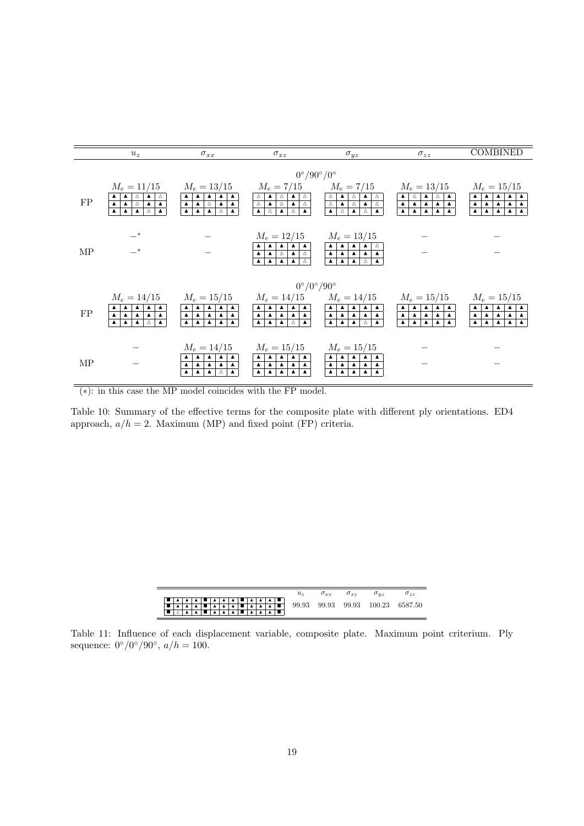

(∗): in this case the MP model coincides with the FP model.

Table 10: Summary of the effective terms for the composite plate with different ply orientations. ED4 approach,  $a/h = 2$ . Maximum (MP) and fixed point (FP) criteria.

|  |  |  |  |  |  |                                          | $u_{\tau}$ | $\sigma_{xx}$ $\sigma_{xz}$ | $\sigma_{uz}$ | $\sigma_{zz}$                    |
|--|--|--|--|--|--|------------------------------------------|------------|-----------------------------|---------------|----------------------------------|
|  |  |  |  |  |  | │■ │▲ │▲ │▲ │■ │▲ │▲ │▲ │■ │▲ │▲ │▲ │■ │ |            |                             |               |                                  |
|  |  |  |  |  |  |                                          |            |                             |               | 99.93 99.93 99.93 100.23 6587.50 |
|  |  |  |  |  |  |                                          |            |                             |               |                                  |

Table 11: Influence of each displacement variable, composite plate. Maximum point criterium. Ply sequence:  $0^{\circ}/0^{\circ}/90^{\circ}$ ,  $a/h = 100$ .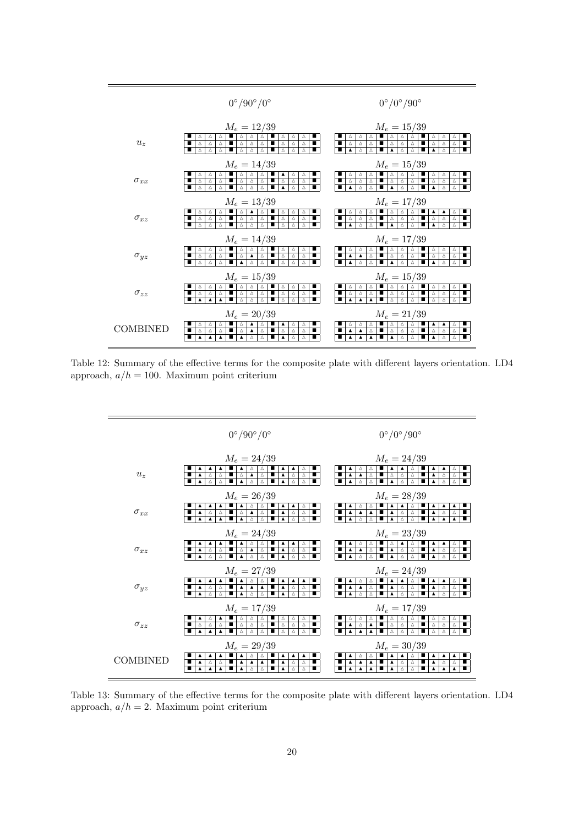

Table 12: Summary of the effective terms for the composite plate with different layers orientation. LD4 approach,  $a/h = 100$ . Maximum point criterium



Table 13: Summary of the effective terms for the composite plate with different layers orientation. LD4 approach,  $a/h = 2$ . Maximum point criterium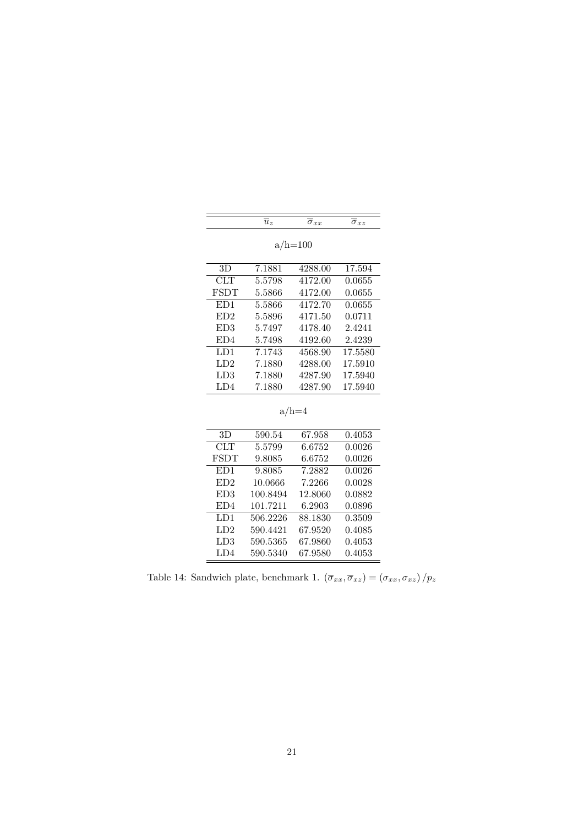|  | $\overline{\phantom{a}}$ |  |  |
|--|--------------------------|--|--|
|--|--------------------------|--|--|

E

a/h= $100$ 

| 3D              | 7.1881 | 4288.00 | 17.594  |
|-----------------|--------|---------|---------|
| CLT             | 5.5798 | 4172.00 | 0.0655  |
| <b>FSDT</b>     | 5.5866 | 4172.00 | 0.0655  |
| ED1             | 5.5866 | 4172.70 | 0.0655  |
| ED <sub>2</sub> | 5.5896 | 4171.50 | 0.0711  |
| ED <sub>3</sub> | 5.7497 | 4178.40 | 2.4241  |
| ED4             | 5.7498 | 4192.60 | 2.4239  |
| LD1             | 7.1743 | 4568.90 | 17.5580 |
| LD <sub>2</sub> | 7.1880 | 4288.00 | 17.5910 |
| LD3             | 7.1880 | 4287.90 | 17.5940 |
| LD4             | 7.1880 | 4287.90 | 17.5940 |

 $\mathrm{a/h=4}$ 

| 3D              | 590.54   | 67.958  | 0.4053 |
|-----------------|----------|---------|--------|
| CLT             | 5.5799   | 6.6752  | 0.0026 |
| <b>FSDT</b>     | 9.8085   | 6.6752  | 0.0026 |
| ED1             | 9.8085   | 7.2882  | 0.0026 |
| ED2             | 10.0666  | 7.2266  | 0.0028 |
| ED <sub>3</sub> | 100.8494 | 12.8060 | 0.0882 |
| ED4             | 101.7211 | 6.2903  | 0.0896 |
| LD1             | 506.2226 | 88.1830 | 0.3509 |
| LD <sub>2</sub> | 590.4421 | 67.9520 | 0.4085 |
| LD3             | 590.5365 | 67.9860 | 0.4053 |
| LD4             | 590.5340 | 67.9580 | 0.4053 |
|                 |          |         |        |

Table 14: Sandwich plate, benchmark 1.  $(\overline{\sigma}_{xx},\overline{\sigma}_{xz})=(\sigma_{xx},\sigma_{xz})/p_z$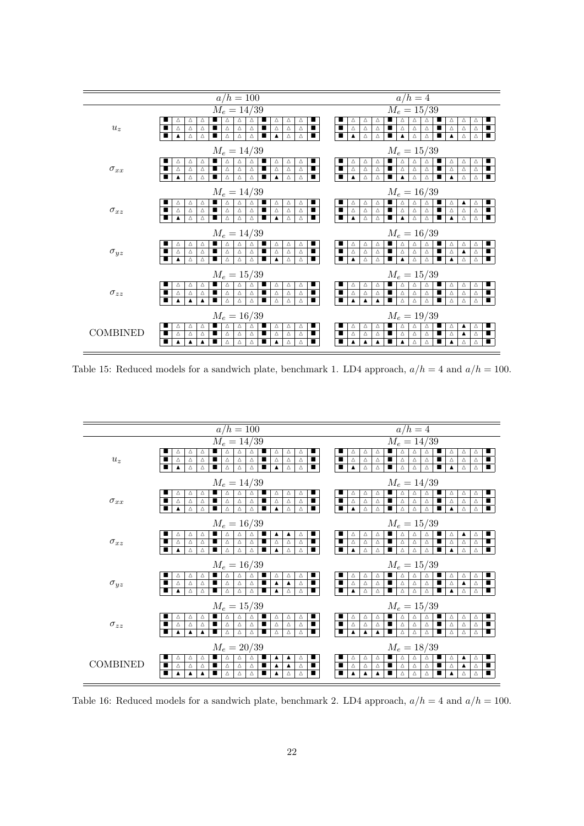

Table 15: Reduced models for a sandwich plate, benchmark 1. LD4 approach,  $a/h = 4$  and  $a/h = 100$ .



Table 16: Reduced models for a sandwich plate, benchmark 2. LD4 approach,  $a/h = 4$  and  $a/h = 100$ .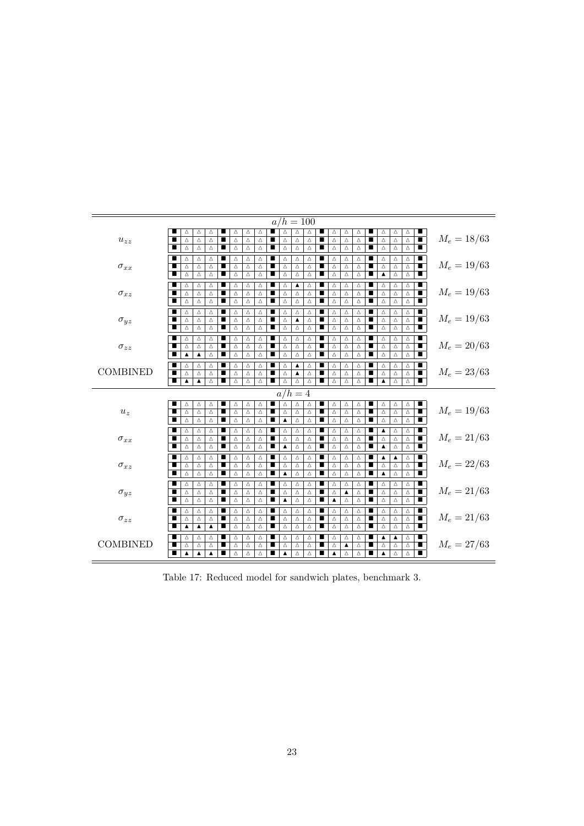| $a/h = 100$     |                       |                  |                  |   |               |   |   |                  |                  |          |   |                  |                  |                  |                |                  |                  |                  |                |               |               |
|-----------------|-----------------------|------------------|------------------|---|---------------|---|---|------------------|------------------|----------|---|------------------|------------------|------------------|----------------|------------------|------------------|------------------|----------------|---------------|---------------|
|                 | Δ                     | Δ                | Δ                |   | Δ<br>Δ        | Δ |   | Δ                | Δ                | Δ        |   | Δ                | Δ                | Δ                |                | Δ                | Δ                | Δ                |                |               |               |
| $u_{zz}$        | ■<br>Δ                | Δ                | Δ                |   | Δ<br>Δ        | Δ | ■ | Δ                | Δ                | Δ        | ∎ | Δ                | Δ                | Δ                | $\blacksquare$ | $\Delta$         | $\Delta$         | $\bigtriangleup$ | т              |               | $M_e = 18/63$ |
|                 | П<br>Δ                | Δ                | Δ                | ■ | Δ<br>Δ        | Δ | ■ | Δ                | Δ                | $\Delta$ | ■ | Δ                | Δ                | Δ                | ■              | $\Delta$         | $\triangle$      | $\triangle$      | ■              |               |               |
| $\sigma_{xx}$   | ∎<br>Δ                | Δ                | Δ                | ■ | Δ<br>Δ        | Δ | п | Δ                | Δ                | Δ        | п | Δ                | Δ                | Δ                | ■              | Δ                | Δ                | Δ                | $\blacksquare$ | $M_e = 19/63$ |               |
|                 | Δ                     | Δ                | $\Delta$         | ■ | Δ<br>Δ        | Δ | ■ | Δ                | Δ                | $\Delta$ | ■ | Δ                | Δ                | Δ                | п              | $\Delta$         | $\Delta$         | $\Delta$         | т              |               |               |
|                 | ■<br>Δ                | Δ                | $\Delta$         | ■ | $\Delta$<br>Δ | Δ |   | $\Delta$         | Δ                | $\Delta$ | п | Δ                | Δ                | $\Delta$         | п              | $\blacktriangle$ | $\Delta$         | $\bigtriangleup$ | $\blacksquare$ |               |               |
| $\sigma_{xz}$   | ■<br>Δ                | Δ                | Δ                | ■ | Δ<br>Δ        | Δ | ■ | Δ                | ▲                | Δ        | ■ | Δ                | Δ                | Δ                | п              | $\Delta$         | Δ                | Δ                | ■              | $M_e = 19/63$ |               |
|                 | п<br>$\Delta$         | Δ                | Δ                | ■ | $\Delta$<br>Δ | Δ | п | Δ                | Δ                | $\Delta$ | п | $\Delta$         | Δ                | $\bigtriangleup$ | п              | $\Delta$         | $\Delta$         | $\Delta$         | п              |               |               |
|                 | ■<br>Δ                | Δ                | Δ                | ■ | Δ<br>Δ        | Δ | ■ | Δ                | Δ                | Δ        | ■ | Δ                | Δ                | Δ                | п              | Δ                | $\triangle$      | Δ                | ■              |               |               |
| $\sigma_{yz}$   | п<br>Δ                | Δ                | Δ                | п | Δ<br>Δ        | Δ | п | Δ                | Δ                | Δ        | п | Δ                | Δ                | Δ                | п              | Δ                | Δ                | Δ                | ■              | $M_e = 19/63$ |               |
|                 | Δ                     | Δ                | Δ                | ■ | Δ<br>Δ        | Δ | ■ | Δ                | ▲                | Δ        | ■ | Δ                | Δ                | Δ                | п              | Δ                | $\Delta$         | Δ                | $\blacksquare$ |               |               |
|                 | ■<br>$\triangle$      | $\Delta$         | Δ                | ■ | $\Delta$<br>Δ | Δ | п | Δ                | Δ                | Δ        | ∎ | $\Delta$         | $\Delta$         | $\Delta$         | ■              | $\Delta$         | Δ                | Δ                |                |               |               |
| $\sigma_{zz}$   | Δ                     | Δ                | Δ                | ∎ | Δ<br>Δ        | Δ | ■ | Δ                | Δ                | Δ        | ∎ | Δ                | Δ                | Δ                | п              | Δ                | Δ                | Δ                |                | $M_e = 20/63$ |               |
|                 | п<br>$\Delta$         | Δ                | Δ                | п | Δ<br>Δ        | Δ | ■ | Δ                | Δ                | Δ        | ∎ | Δ                | Δ                | Δ                | п              | Δ                | Δ                | Δ                | $\blacksquare$ |               |               |
|                 | П<br>$\blacktriangle$ | $\blacktriangle$ | Δ                | п | Δ<br>Δ        | Δ | п | Δ                | Δ                | Δ        | ■ | Δ                | Δ                | Δ                | п              | Δ                | $\triangle$      | Δ                | ■              |               |               |
| <b>COMBINED</b> | Δ                     | Δ                | Δ                | ∎ | Δ<br>Δ        | Δ | ■ | Δ                | ▲                | Δ        | ■ | Δ                | Δ                | Δ                | ■              | Δ                | Δ                | Δ                | ■              | $M_e = 23/63$ |               |
|                 | Δ                     | Δ                | Δ                | ■ | Δ<br>Δ        | Δ | ■ | Δ                | $\blacktriangle$ | Δ        | ■ | Δ                | Δ                | Δ                | п              | $\Delta$         | Δ                | Δ                | т              |               |               |
|                 | ■<br>$\blacktriangle$ | ▲                | Δ                | ■ | Δ<br>Δ        | Δ |   | Δ                | Δ                | $\Delta$ | п | Δ                | Δ                | $\triangle$      | п              | $\blacktriangle$ | $\triangle$      | $\triangle$      | $\blacksquare$ |               |               |
|                 |                       |                  |                  |   |               |   |   | $a/h=4$          |                  |          |   |                  |                  |                  |                |                  |                  |                  |                |               |               |
|                 | ■<br>Δ                | Δ                | Δ                | ■ | Δ<br>Δ        | Δ |   | Δ                | Δ                | Δ        | п | Δ                | Δ                | Δ                | ш              | Δ                | $\Delta$         | Δ                | ■              |               |               |
| $u_z$           | ■<br>Δ                | $\Delta$         | Δ                | п | Δ<br>Δ        | Δ | ■ | Δ                | Δ                | Δ        | ■ | Δ                | Δ                | Δ                | п              | $\Delta$         | $\bigtriangleup$ | $\Delta$         | $\blacksquare$ | $M_e = 19/63$ |               |
|                 | $\Delta$<br>■         | $\Delta$         | Δ                | ■ | $\Delta$<br>Δ | Δ | ■ | $\blacktriangle$ | $\Delta$         | Δ        | ∎ | $\Delta$         | Δ                | Δ                | ■              | $\triangle$      | Δ                | Δ                |                |               |               |
| $\sigma_{xx}$   | ■<br>Δ                | Δ                | Δ                | ■ | Δ<br>Δ        | Δ | ■ | Δ                | Δ                | Δ        | п | Δ                | Δ                | Δ                | п              | ▲                | Δ                | Δ                | ■              | $M_e = 21/63$ |               |
|                 | Δ<br>∎                | Δ                | Δ                | ■ | Δ<br>Δ        | Δ | ■ | Δ                | Δ                | Δ        | ∎ | Δ                | Δ                | Δ                | ■              | $\Delta$         | Δ                | Δ                | $\blacksquare$ |               |               |
|                 | П<br>Δ                | Δ                | Δ                | п | Δ<br>Δ        | Δ | п | ▲                | Δ                | Δ        | ■ | Δ                | Δ                | Δ                | п              | $\blacktriangle$ | $\triangle$      | $\triangle$      | ■              |               |               |
| $\sigma_{xz}$   | Δ                     | Δ                | Δ                | ■ | Δ<br>Δ        | Δ | ■ | Δ                | Δ                | Δ        | ■ | Δ                | Δ                | Δ                | ■              | ▲                | ▲                | Δ                | ■              | $M_e = 22/63$ |               |
|                 | ∎<br>Δ                | Δ                | Δ                | п | Δ<br>Δ        | Δ | ■ | Δ                | Δ                | Δ        | ■ | Δ                | Δ                | Δ                | п              | $\Delta$         | Δ                | Δ                | т              |               |               |
|                 | ■<br>$\Delta$         | Δ                | $\Delta$         | ■ | Δ<br>Δ        | Δ | п | ▲                | Δ                | $\Delta$ | ∎ | Δ                | $\Delta$         | $\triangle$      | п              | $\blacktriangle$ | $\Delta$         | $\triangle$      |                |               |               |
| $\sigma_{yz}$   | ■<br>Δ                | Δ                | Δ                | ■ | Δ<br>Δ        | Δ | ■ | Δ                | Δ                | Δ        | ■ | Δ                | Δ                | Δ                | ш              | Δ                | Δ                | Δ                | ■              |               |               |
|                 | п<br>Δ                | $\Delta$         | Δ                | п | $\Delta$<br>Δ | Δ | ■ | Δ                | Δ                | Δ        | ∎ | Δ                | $\blacktriangle$ | $\triangle$      | п              | $\Delta$         | $\Delta$         | $\Delta$         | П              | $M_e = 21/63$ |               |
|                 | ■<br>Δ                | Δ                | Δ                | п | $\Delta$<br>Δ | Δ | ■ | ▲                | Δ                | $\Delta$ | ■ | $\blacktriangle$ | Δ                | Δ                | п              | $\Delta$         | $\triangle$      | $\Delta$         | $\blacksquare$ |               |               |
| $\sigma_{zz}$   | ∎<br>Δ                | Δ                | Δ                | ■ | Δ<br>Δ        | Δ | ■ | Δ                | Δ                | Δ        | ∎ | Δ                | Δ                | Δ                | п              | Δ                | Δ                | Δ                | ■              |               |               |
|                 | ∎<br>Δ                | Δ                | Δ                | ■ | Δ<br>Δ        | Δ | п | Δ                | Δ                | Δ        | п | Δ                | Δ                | Δ                | ш              | Δ                | Δ                | Δ                | п.             | $M_e = 21/63$ |               |
|                 | ■<br>$\blacktriangle$ | ▲                | ▲                | ∎ | Δ<br>Δ        | Δ | ■ | Δ                | Δ                | Δ        | ∎ | Δ                | Δ                | Δ                | п              | Δ                | Δ                | Δ                |                |               |               |
| <b>COMBINED</b> | Δ                     | Δ                | Δ                | ■ | Δ<br>Δ        | Δ | п | Δ                | Δ                | Δ        | ■ | Δ                | Δ                | Δ                | ■              | ▲                | $\blacktriangle$ | Δ                | $\blacksquare$ | $M_e = 27/63$ |               |
|                 | ■<br>Δ                | Δ                | Δ                | ∎ | Δ<br>Δ        | Δ | ■ | Δ                | Δ                | Δ        | ■ | Δ                | ▲                | Δ                | ■              | Δ                | Δ                | Δ                | $\blacksquare$ |               |               |
|                 | ■<br>$\blacktriangle$ | ▲                | $\blacktriangle$ | ■ | Δ<br>Δ        | Δ | ■ | ▲                | Δ                | Δ        | ■ | ▲                | Δ                | Δ                |                | $\blacktriangle$ | Δ                | Δ                |                |               |               |

Table 17: Reduced model for sandwich plates, benchmark 3.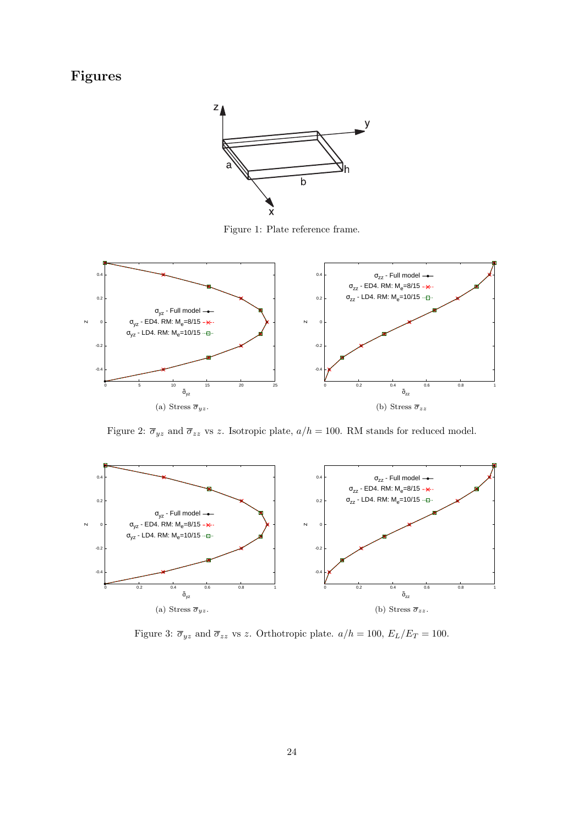# Figures



Figure 1: Plate reference frame.



Figure 2:  $\overline{\sigma}_{yz}$  and  $\overline{\sigma}_{zz}$  vs z. Isotropic plate,  $a/h = 100$ . RM stands for reduced model.



Figure 3:  $\overline{\sigma}_{yz}$  and  $\overline{\sigma}_{zz}$  vs z. Orthotropic plate.  $a/h = 100$ ,  $E_L/E_T = 100$ .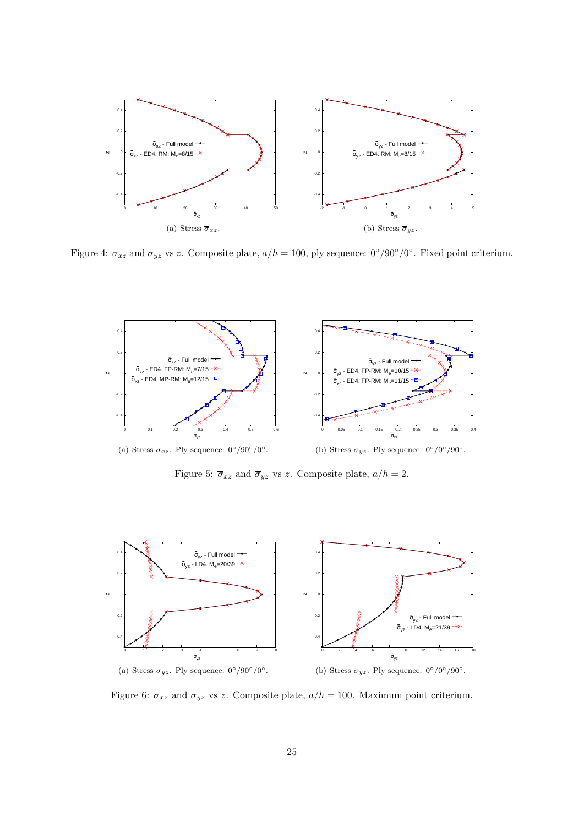

Figure 4:  $\overline{\sigma}_{xz}$  and  $\overline{\sigma}_{yz}$  vs z. Composite plate,  $a/h = 100$ , ply sequence:  $0^{\circ}/90^{\circ}/0^{\circ}$ . Fixed point criterium.



Figure 5:  $\overline{\sigma}_{xz}$  and  $\overline{\sigma}_{yz}$  vs z. Composite plate,  $a/h = 2$ .



Figure 6:  $\overline{\sigma}_{xz}$  and  $\overline{\sigma}_{yz}$  vs z. Composite plate,  $a/h = 100$ . Maximum point criterium.